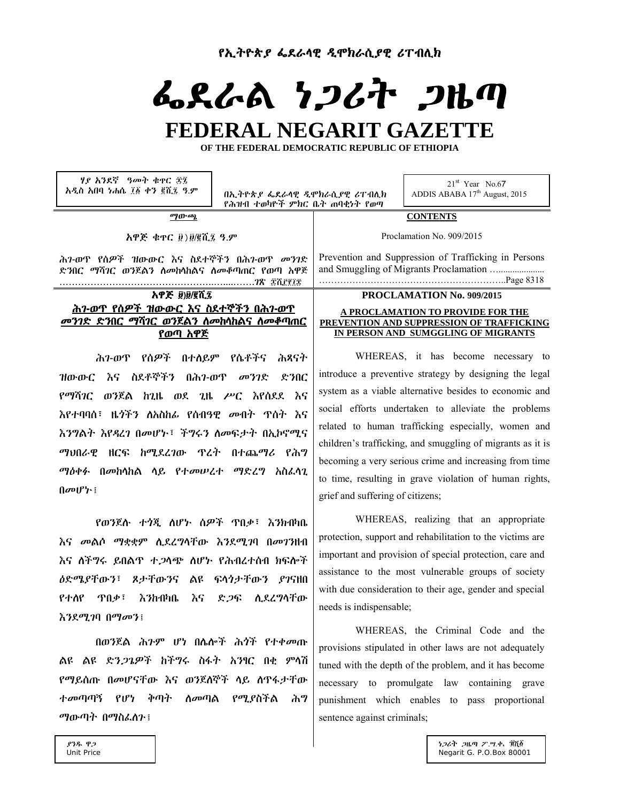የኢትዮጵያ ፌደራላዊ ዲሞክራሲያዊ ሪፐብሊክ

# ፌደራል ነጋሪት ጋዜጣ

## **FEDERAL NEGARIT GAZETTE**

**OF THE FEDERAL DEMOCRATIC REPUBLIC OF ETHIOPIA**

 በኢትዮጵያ ፌደራላዊ ዲሞክራሲያዊ ሪፐብሊክ የሕዝብ ተወካዮች ምክር ቤት ጠባቂነት የወጣ

i<br>I ሃያ አንደኛ ዓመት ቁጥር ፷፯ አዲስ አበባ ነሐሴ ፲፩ ቀን ፪ሺ ዓ.ም

ማውጫ

አዋጅ ቁጥር ፱) ፱/፪ሺ፯ ዓ.ም

ሕገ-ወጥ የሰዎች ዝውውር እና ስደተኞችን በሕገ-ወጥ መንገድ ድንበር ማሻገር ወንጀልን ለመከላከልና ለመቆጣጠር የወጣ አዋጅ …………………………………………..…....…….ገጽ ፰ሺ፫፲፰

#### አዋጅ **)**/ሺ ሕገ-ወጥ የሰዎች ዝውውር እና ስደተኞችን በሕገ-ወጥ መንገድ ድንበር ማሻገር ወንጀልን ለመከላከልና ለመቆጣጠር የወጣ አዋጅ

ሕገ-ወጥ የሰዎች በተለይም የሴቶችና ሕጻናት ዝውውር እና ስደቶኞችን በሕገ-ወጥ መንገድ ድንበር የማሻገር ወንጀል ከጊዜ ወደ ጊዜ ሥር እየሰደደ እና እየተባባሰ፣ ዜጎችን ለአስከፊ የሰብዓዊ መብት ጥሰት እና እንግልት እየዳረገ በመሆኑ፣ ችግሩን ለመፍታት በኢኮኖሚና ማህበራዊ ዘርፍ ከሚደረገው ጥረት በተጨማሪ የሕግ ማዕቀፉ በመከላከል ላይ የተመሠረተ ማድረግ አስፈላጊ በመሆኑ፤

የወንጀሉ ተጎጂ ለሆኑ ሰዎች ጥበቃ፣ እንክብካቤ እና መልሶ ማቋቋም ሊደረግላቸው እንደሚገባ በመገንዘብ እና ለችግሩ ይበልጥ ተጋላጭ ለሆኑ የሕብረተሰብ ክፍሎች ዕድሜያቸውን፣ ጾታቸውንና ልዩ ፍላጎታቸውን ያገናዘበ የተለየ ጥበቃ፣ እንከብካቤ እና ድጋፍ ሊደረግላቸው እንደሚገባ በማመን፤

በወንጀል ሕጉም ሆነ በሌሎች ሕጎች የተቀመጡ ልዩ ልዩ ድንጋጌዎች ከችግሩ ስፋት አንፃር በቂ ምላሽ የማይሰጡ በመሆናቸው እና ወንጀለኞች ላይ ለጥፋታቸው ተመጣጣኝ የሆነ ቅጣት ለመጣል የሚያስችል ሕግ ማውጣት በማስፈለጉ፤

21<sup>st</sup> Year No.67 ADDIS ABABA 17<sup>th</sup> August, 2015

**CONTENTS**

Proclamation No. 909/2015

Prevention and Suppression of Trafficking in Persons and Smuggling of Migrants Proclamation ….................... ……………………………………………………..Page 8318

**PROCLAMATION No. 909/2015**

#### **A PROCLAMATION TO PROVIDE FOR THE PREVENTION AND SUPPRESSION OF TRAFFICKING IN PERSON AND SUMGGLING OF MIGRANTS**

WHEREAS, it has become necessary to introduce a preventive strategy by designing the legal system as a viable alternative besides to economic and social efforts undertaken to alleviate the problems related to human trafficking especially, women and children's trafficking, and smuggling of migrants as it is becoming a very serious crime and increasing from time to time, resulting in grave violation of human rights, grief and suffering of citizens;

WHEREAS, realizing that an appropriate protection, support and rehabilitation to the victims are important and provision of special protection, care and assistance to the most vulnerable groups of society with due consideration to their age, gender and special needs is indispensable;

WHEREAS, the Criminal Code and the provisions stipulated in other laws are not adequately tuned with the depth of the problem, and it has become necessary to promulgate law containing grave punishment which enables to pass proportional sentence against criminals;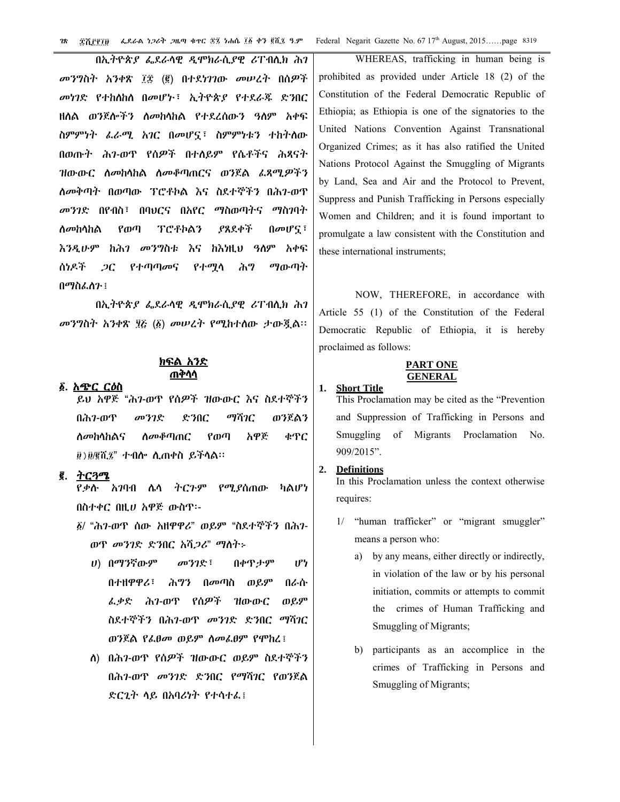በኢትዮጵያ ፌደራላዊ ዲሞክራሲያዊ ሪፐብሊክ ሕገ መንግስት አንቀጽ ፲፰ (፪) በተደነገገው መሠረት በሰዎች መነገድ የተከለከለ በመሆኑ፣ ኢትዮጵያ የተደራጁ ድንበር ዘለል ወንጀሎችን ለመከላከል የተደረሰውን ዓለም አቀፍ ስምምነት ፈራሚ አገር በመሆኗ፣ ስምምነቱን ተከትለው በወጡት ሕገ-ወጥ የሰዎች በተለይም የሴቶችና ሕጻናት ዝውውር ለመከላከል ለመቆጣጠርና ወንጀል ፈጻሚዎችን ለመቅጣት በወጣው ፕሮቶኮል እና ስደተኞችን በሕገ-ወጥ መንገድ በየብስ፣ በባህርና በአየር ማስወጣትና ማስገባት ለመከላከል የወጣ ፕሮቶኮልን ያጸደቀች በመሆኗ፣ እንዲሁም ከሕገ መንግስቱ እና ከእነዚህ ዓለም አቀፍ ሰነዶች ጋር የተጣጣመና የተሟላ ሕግ ማውጣት በማስፈለጉ፤

በኢትዮጵያ ፌደራላዊ ዲሞክራሲያዊ ሪፐብሊክ ሕገ መንግስት አንቀጽ ፶፭ (፩) መሠረት የሚከተለው ታውጇል፡፡

#### ክፍል አንድ ጠቅላላ

#### ፩. አጭር ርዕስ

ይህ አዋጅ "ሕገ-ወጥ የሰዎች ዝውውር እና ስደተኞችን በሕገ-ወጥ መንገድ ድንበር ማሻገር ወንጀልን ለመከላከልና ለመቆጣጠር የወጣ አዋጅ ቁጥር )/ሺ" ተብሎ ሊጠቀስ ይችላል፡፡

#### ፪. ትርጓሜ

የቃሉ አገባብ ሌላ ትርጉም የሚያሰጠው ካልሆነ በስተቀር በዚሀ አዋጅ ውስጥ፡-

- ፩/ "ሕገ-ወጥ ሰው አዘዋዋሪ" ወይም "ስደተኞችን በሕገ-ወጥ መንገድ ድንበር አሻጋሪ" ማለት፦
	- ሀ) በማንኛውም መንገድ፣ በቀጥታም ሆነ በተዘዋዋሪ፣ ሕግን በመጣስ ወይም በራሱ ፈቃድ ሕገ-ወጥ የሰዎች ዝውውር ወይም ስደተኞችን በሕገ-ወጥ መንገድ ድንበር ማሻገር ወንጀል የፈፀመ ወይም ለመፈፀም የሞከረ፤
	- ለ) በሕገ-ወጥ የሰዎች ዝውውር ወይም ስደተኞችን በሕገ-ወጥ መንገድ ድንበር የማሻገር የወንጀል ድርጊት ላይ በአባሪነት የተሳተፈ፤

WHEREAS, trafficking in human being is prohibited as provided under Article 18 (2) of the Constitution of the Federal Democratic Republic of Ethiopia; as Ethiopia is one of the signatories to the United Nations Convention Against Transnational Organized Crimes; as it has also ratified the United Nations Protocol Against the Smuggling of Migrants by Land, Sea and Air and the Protocol to Prevent, Suppress and Punish Trafficking in Persons especially Women and Children; and it is found important to promulgate a law consistent with the Constitution and these international instruments;

NOW, THEREFORE, in accordance with Article 55 (1) of the Constitution of the Federal Democratic Republic of Ethiopia, it is hereby proclaimed as follows:

#### **PART ONE GENERAL**

#### **1. Short Title**

This Proclamation may be cited as the "Prevention and Suppression of Trafficking in Persons and Smuggling of Migrants Proclamation No. 909/2015".

#### **2. Definitions**

In this Proclamation unless the context otherwise requires:

- 1/ "human trafficker" or "migrant smuggler" means a person who:
	- a) by any means, either directly or indirectly, in violation of the law or by his personal initiation, commits or attempts to commit the crimes of Human Trafficking and Smuggling of Migrants;
	- b) participants as an accomplice in the crimes of Trafficking in Persons and Smuggling of Migrants;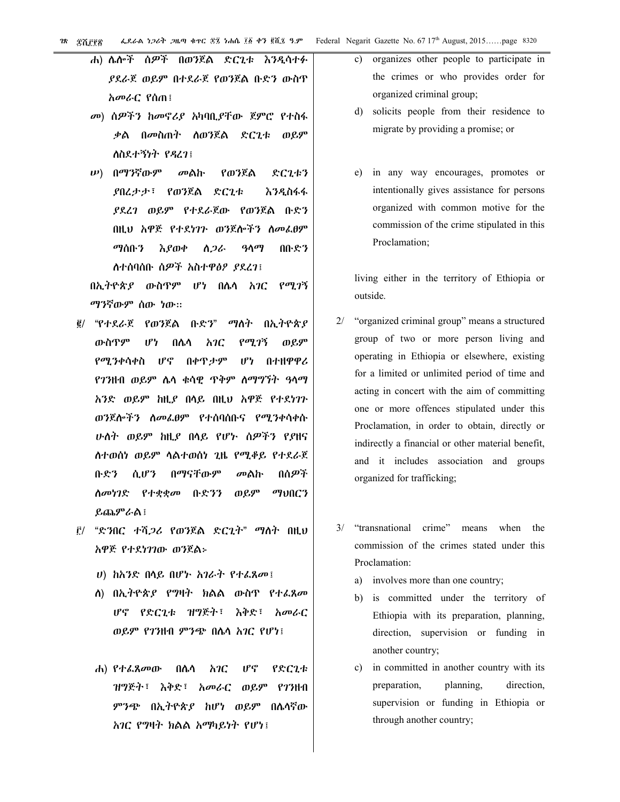- ሐ) ሌሎች ሰዎች በወንጀል ድርጊቱ እንዲሳተፉ ያደራጀ ወይም በተደራጀ የወንጀል ቡድን ውስጥ አመራር የሰጠ፤
- መ) ሰዎችን ከመኖሪያ አካባቢያቸው ጀምሮ የተስፋ ቃል በመስጠት ለወንጀል ድርጊቱ ወይም ለስደተኝነት የዳረገ፤
- ሠ) በማንኛውም መልኩ የወንጀል ድርጊቱን ያበረታታ፣ የወንጀል ድርጊቱ እንዲስፋፋ ያደረገ ወይም የተደራጀው የወንጀል ቡድን በዚህ አዋጅ የተደነገጉ ወንጀሎችን ለመፈፀም ማሰቡን እያወቀ ለጋራ ዓላማ በቡድን ለተሰባሰቡ ሰዎች አስተዋፅዖ ያደረገ፤

በኢትዮጵያ ውስጥም ሆነ በሌላ አገር የሚገኝ ማንኛውም ሰው ነው።

- ፪/ "የተደራጀ የወንጀል ቡድን" ማለት በኢትዮጵያ ውስጥም ሆነ በሌላ አገር የሚገኝ ወይም የሚንቀሳቀስ ሆኖ በቀጥታም ሆነ በተዘዋዋሪ የገንዘብ ወይም ሌላ ቁሳዊ ጥቅም ለማግኘት ዓላማ አንድ ወይም ከዚያ በላይ በዚህ አዋጅ የተደነገጉ ወንጀሎችን ለመፈፀም የተሰባሰቡና የሚንቀሳቀሱ ሁለት ወይም ከዚያ በላይ የሆኑ ሰዎችን የያዘና ለተወሰነ ወይም ላልተወሰነ ጊዜ የሚቆይ የተደራጀ ቡድን ሲሆን በማናቸውም መልኩ በሰዎች ለመነገድ የተቋቋመ ቡድንን ወይም ማህበርን ይጨምራል፤
- ፫/ "ድንበር ተሻጋሪ የወንጀል ድርጊት" ማለት በዚህ አዋጅ የተደነገገው ወንጀል፦
	- ሀ) ከአንድ በላይ በሆኑ አገራት የተፈጸመ፤
	- ለ) በኢትዮጵያ የግዛት ክልል ውስጥ የተፈጸመ ሆኖ የድርጊቱ ዝግጅት፣ እቅድ፣ አመራር ወይም የገንዘብ ምንጭ በሌላ አገር የሆነ፤
	- ሐ) የተፈጸመው በሌላ አገር ሆኖ የድርጊቱ ዝግጅት፣ እቅድ፣ አመራር ወይም የገንዘብ ምንጭ በኢትዮጵያ ከሆነ ወይም በሌላኛው አገር የግዛት ክልል አማካይነት የሆነ፤
- c) organizes other people to participate in the crimes or who provides order for organized criminal group;
- d) solicits people from their residence to migrate by providing a promise; or
- e) in any way encourages, promotes or intentionally gives assistance for persons organized with common motive for the commission of the crime stipulated in this Proclamation;

living either in the territory of Ethiopia or outside.

- 2/ "organized criminal group" means a structured group of two or more person living and operating in Ethiopia or elsewhere, existing for a limited or unlimited period of time and acting in concert with the aim of committing one or more offences stipulated under this Proclamation, in order to obtain, directly or indirectly a financial or other material benefit, and it includes association and groups organized for trafficking;
- 3/ "transnational crime" means when the commission of the crimes stated under this Proclamation:
	- a) involves more than one country;
	- b) is committed under the territory of Ethiopia with its preparation, planning, direction, supervision or funding in another country;
	- c) in committed in another country with its preparation, planning, direction, supervision or funding in Ethiopia or through another country;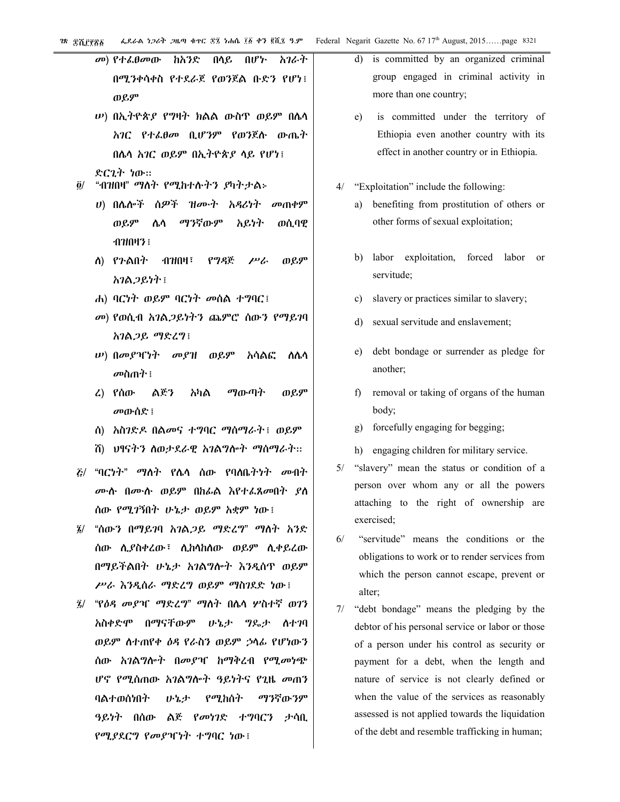- መ) የተፈፀመው ከአንድ በላይ በሆኑ አገራት በሚንቀሳቀስ የተደራጀ የወንጀል ቡድን የሆነ፤ ወይም
- ሠ) በኢትዮጵያ የግዛት ክልል ውስጥ ወይም በሌላ አገር የተፈፀመ ቢሆንም የወንጀሉ ውጤት በሌላ አገር ወይም በኢትዮጵያ ላይ የሆነ፤
- ድርጊት ነው። ፬/ "ብዝበዛ" ማለት የሚከተሉትን ያካትታል፦
	- ሀ) በሌሎች ሰዎች ዝሙት አዳሪነት መጠቀም ወይም ሌላ ማንኛውም አይነት ወሲባዊ ብዝበዛን፤
	- ለ) የጉልበት ብዝበዛ፣ የግዳጅ ሥራ ወይም አገልጋይነት፤
	- ሐ) ባርነት ወይም ባርነት መሰል ተግባር፤
	- መ) የወሲብ አገልጋይነትን ጨምሮ ሰውን የማይገባ አገልጋይ ማድረግ፤
	- ሠ) በመያዣነት መያዝ ወይም አሳልፎ ለሌላ መስጠት፤
	- ረ) የሰው ልጅን አካል ማውጣት ወይም መውሰድ፤
	- ሰ) አስገድዶ በልመና ተግባር ማሰማራት፤ ወይም
	- ሸ) ህፃናትን ለወታደራዊ አገልግሎት ማሰማራት።
- ፭/ "ባርነት" ማለት የሌላ ሰው የባለቤትነት መብት ሙሉ በሙሉ ወይም በከፊል እየተፈጸመበት ያለ ሰው የሚገኝበት ሁኔታ ወይም አቋም ነው፤
- ፮/ "ሰውን በማይገባ አገልጋይ ማድረግ" ማለት አንድ ሰው ሊያስቀረው፣ ሊከላከለው ወይም ሊቀይረው በማይችልበት ሁኔታ አገልግሎት እንዲሰጥ ወይም ሥራ እንዲሰራ ማድረግ ወይም ማስገደድ ነው፤
- ፯/ "የዕዳ መያዣ ማድረግ" ማለት በሌላ ሦስተኛ ወገን አስቀድሞ በማናቸውም ሁኔታ ግዴታ ለተገባ ወይም ለተጠየቀ ዕዳ የራስን ወይም ኃላፊ የሆነውን ሰው አገልግሎት በመያዣ ከማቅረብ የሚመነጭ ሆኖ የሚሰጠው አገልግሎት ዓይነትና የጊዜ መጠን ባልተወሰነበት ሁኔታ የሚከሰት ማንኛውንም ዓይነት በሰው ልጅ የመነገድ ተግባርን ታሳቢ የሚያደርግ የመያዣነት ተግባር ነው፤
- is committed by an organized criminal group engaged in criminal activity in more than one country;
- e) is committed under the territory of Ethiopia even another country with its effect in another country or in Ethiopia.
- 4/ "Exploitation" include the following:
	- a) benefiting from prostitution of others or other forms of sexual exploitation;
	- b) labor exploitation, forced labor or servitude;
	- c) slavery or practices similar to slavery;
	- d) sexual servitude and enslavement;
	- e) debt bondage or surrender as pledge for another;
	- f) removal or taking of organs of the human body;
	- g) forcefully engaging for begging;
	- h) engaging children for military service.
- 5/ "slavery" mean the status or condition of a person over whom any or all the powers attaching to the right of ownership are exercised;
- 6/ "servitude" means the conditions or the obligations to work or to render services from which the person cannot escape, prevent or alter;
- 7/ "debt bondage" means the pledging by the debtor of his personal service or labor or those of a person under his control as security or payment for a debt, when the length and nature of service is not clearly defined or when the value of the services as reasonably assessed is not applied towards the liquidation of the debt and resemble trafficking in human;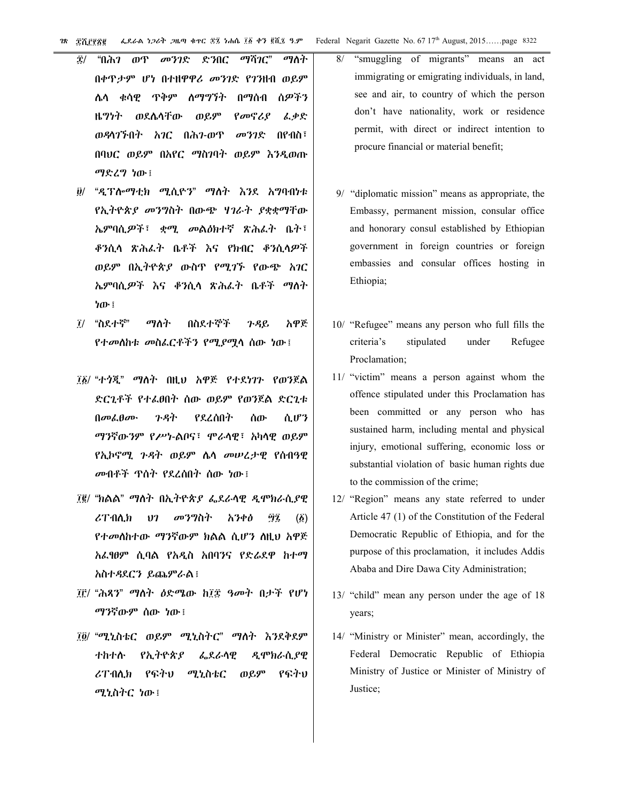- ፰/ "በሕገ ወጥ መንገድ ድንበር ማሻገር" ማለት በቀጥታም ሆነ በተዘዋዋሪ መንገድ የገንዘብ ወይም ሌላ ቁሳዊ ጥቅም ለማግኘት በማሰብ ሰዎችን ዜግነት ወደሌላቸው ወይም የመኖሪያ ፈቃድ ወዳላገኙበት አገር በሕገ-ወጥ መንገድ በየብስ፣ በባህር ወይም በአየር ማስገባት ወይም እንዲወጡ ማድረግ ነው፤
- ፱/ "ዲፕሎማቲክ ሚሲዮን" ማለት እንደ አግባብነቱ የኢትዮጵያ መንግስት በውጭ ሃገራት ያቋቋማቸው ኤምባሲዎች፣ ቋሚ መልዕክተኛ ጽሕፈት ቤት፣ ቆንሲላ ጽሕፈት ቤቶች እና የክብር ቆንሲላዎች ወይም በኢትዮጵያ ውስጥ የሚገኙ የውጭ አገር ኤምባሲዎች እና ቆንሲላ ጽሕፈት ቤቶች ማለት ነው፤
- ፲/ "ስደተኛ" ማለት በስደተኞች ጉዳይ አዋጅ የተመለከቱ መስፈርቶችን የሚያሟላ ሰው ነው፤
- ፲፩/ "ተጎጂ" ማለት በዚህ አዋጅ የተደነገጉ የወንጀል ድርጊቶች የተፈፀበት ሰው ወይም የወንጀል ድርጊቱ በመፈፀሙ ጉዳት የደረሰበት ሰው ሲሆን ማንኛውንም የሥነ-ልቦና፣ ሞራላዊ፣ አካላዊ ወይም የኢኮኖሚ ጉዳት ወይም ሌላ መሠረታዊ የሰብዓዊ መብቶች ጥሰት የደረሰበት ሰው ነው፤
- ፲፪/ "ክልል" ማለት በኢትዮጵያ ፌደራላዊ ዲሞክራሲያዊ ሪፐብሊክ ህገ መንግስት አንቀፅ ፵፯ (፩) የተመለከተው ማንኛውም ክልል ሲሆን ለዚህ አዋጅ አፈፃፀም ሲባል የአዲስ አበባንና የድሬደዋ ከተማ አስተዳደርን ይጨምራል፤
- ፲፫/ "ሕጻን" ማለት ዕድሜው ከ፲፰ ዓመት በታች የሆነ ማንኛውም ሰው ነው፤
- ፲፬/ "ሚኒስቴር ወይም ሚኒስትር" ማለት እንደቅደም ተከተሉ የኢትዮጵያ ፌደራላዊ ዲሞክራሲያዊ ሪፐብሊክ የፍትህ ሚኒስቴር ወይም የፍትህ ሚኒስትር ነው፤
- 8/ "smuggling of migrants" means an act immigrating or emigrating individuals, in land, see and air, to country of which the person don't have nationality, work or residence permit, with direct or indirect intention to procure financial or material benefit;
- 9/ "diplomatic mission" means as appropriate, the Embassy, permanent mission, consular office and honorary consul established by Ethiopian government in foreign countries or foreign embassies and consular offices hosting in Ethiopia;
- 10/ "Refugee" means any person who full fills the criteria's stipulated under Refugee Proclamation;
- 11/ "victim" means a person against whom the offence stipulated under this Proclamation has been committed or any person who has sustained harm, including mental and physical injury, emotional suffering, economic loss or substantial violation of basic human rights due to the commission of the crime;
- 12/ "Region" means any state referred to under Article 47 (1) of the Constitution of the Federal Democratic Republic of Ethiopia, and for the purpose of this proclamation, it includes Addis Ababa and Dire Dawa City Administration;
- 13/ "child" mean any person under the age of 18 years;
- 14/ "Ministry or Minister" mean, accordingly, the Federal Democratic Republic of Ethiopia Ministry of Justice or Minister of Ministry of Justice;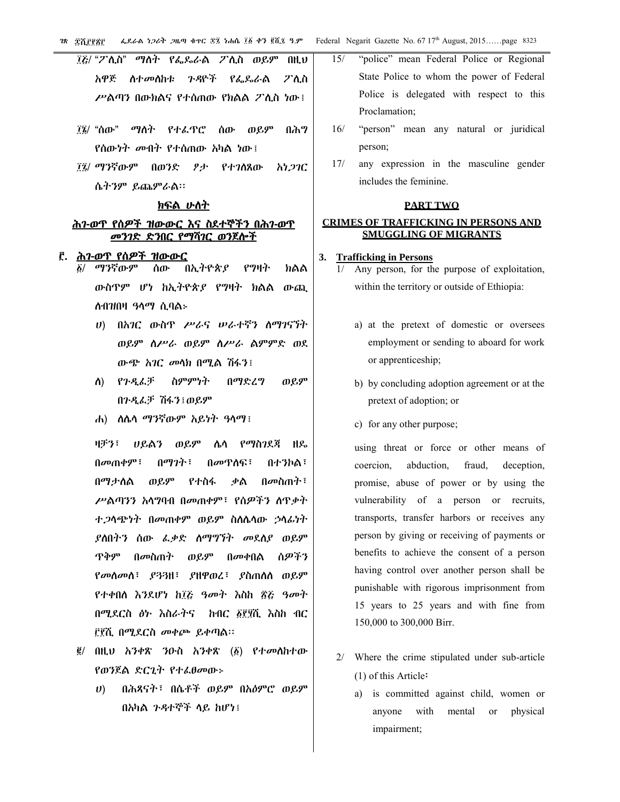፰ሺ፫፳፫

- ፲፭/ "ፖሊስ" ማለት የፌዴራል ፖሊስ ወይም በዚህ አዋጅ ለተመለከቱ ጉዳዮች የፌዴራል ፖሊስ ሥልጣን በውክልና የተሰጠው የክልል ፖሊስ ነው፤
- ፲፮/ "ሰው" ማለት የተፈጥሮ ሰው ወይም በሕግ የሰውነት መብት የተሰጠው አካል ነው፤
- ፲፯/ ማንኛውም በወንድ ፆታ የተገለጸው አነጋገር ሴትንም ይጨምራል፡፡

#### <u>ክፍል ሁለት</u>

#### ሕገ-ወጥ የሰዎች ዝውውር እና ስደተኞችን በሕገ-ወጥ መንገድ ድንበር የማሻገር ወንጀሎች

- ፫. ሕገ-ወጥ የሰዎች ዝውውር
	- ፩/ ማንኛውም ሰው በኢትዮጵያ የግዛት ክልል ውስጥም ሆነ ከኢትዮጵያ የግዛት ክልል ውጪ ለብዝበዛ ዓላማ ሲባል፦
		- ሀ) በአገር ውስጥ ሥራና ሠራተኛን ለማገናኘት ወይም ለሥራ ወይም ለሥራ ልምምድ ወደ ውጭ አገር መላክ በሚል ሽፋን፤
		- ለ) የጉዲፈቻ ስምምነት በማድረግ ወይም በጉዲፈቻ ሽፋን፤ወይም
		- ሐ) ለሌላ ማንኛውም አይነት ዓላማ፤

ዛቻን፣ ሀይልን ወይም ሌላ የማስገደጃ ዘዴ በመጠቀም፣ በማገት፣ በመጥለፍ፣ በተንኮል፣ በማታለል ወይም የተስፋ ቃል በመስጠት፣ ሥልጣንን አላግባብ በመጠቀም፣ የሰዎችን ለጥቃት ተጋላጭነት በመጠቀም ወይም ስለሌላው ኃላፊነት ያለበትን ሰው ፈቃድ ለማግኘት መደለያ ወይም ጥቅም በመስጠት ወይም በመቀበል ሰዎችን የመለመለ፣ ያጓጓዘ፣ ያዘዋወረ፣ ያስጠለለ ወይም የተቀበለ እንደሆነ ከ፲፭ ዓመት እስከ ፳፭ ዓመት በሚደርስ ፅኑ እስራትና ከብር ፩፻፶ሺ እስከ ብር ፫፻ሺ በሚደርስ መቀጮ ይቀጣል፡፡

- ፪/ በዚህ አንቀጽ ንዑስ አንቀጽ (፩) የተመለከተው የወንጀል ድርጊት የተፈፀመው፦
	- ሀ) በሕጻናት፣ በሴቶች ወይም በአዕምሮ ወይም በአካል ጉዳተኞች ላይ ከሆነ፤
- ፌደራል ነጋሪት ጋዜጣ ቁጥር ፷፯ ነሐሴ ፲፩ ቀን ፪ሺ፯ ዓ.ም Federal Negarit Gazette No. 67 17th August, 2015……page 8323
	- 15/ "police" mean Federal Police or Regional State Police to whom the power of Federal Police is delegated with respect to this Proclamation;
	- 16/ "person" mean any natural or juridical person;
	- 17/ any expression in the masculine gender includes the feminine.

#### **PART TWO**

#### **CRIMES OF TRAFFICKING IN PERSONS AND SMUGGLING OF MIGRANTS**

#### **3. Trafficking in Persons**

- 1/ Any person, for the purpose of exploitation, within the territory or outside of Ethiopia:
	- a) at the pretext of domestic or oversees employment or sending to aboard for work or apprenticeship;
	- b) by concluding adoption agreement or at the pretext of adoption; or
	- c) for any other purpose;

using threat or force or other means of coercion, abduction, fraud, deception, promise, abuse of power or by using the vulnerability of a person or recruits, transports, transfer harbors or receives any person by giving or receiving of payments or benefits to achieve the consent of a person having control over another person shall be punishable with rigorous imprisonment from 15 years to 25 years and with fine from 150,000 to 300,000 Birr.

- 2/ Where the crime stipulated under sub-article (1) of this Article፡
	- a) is committed against child, women or anyone with mental or physical impairment;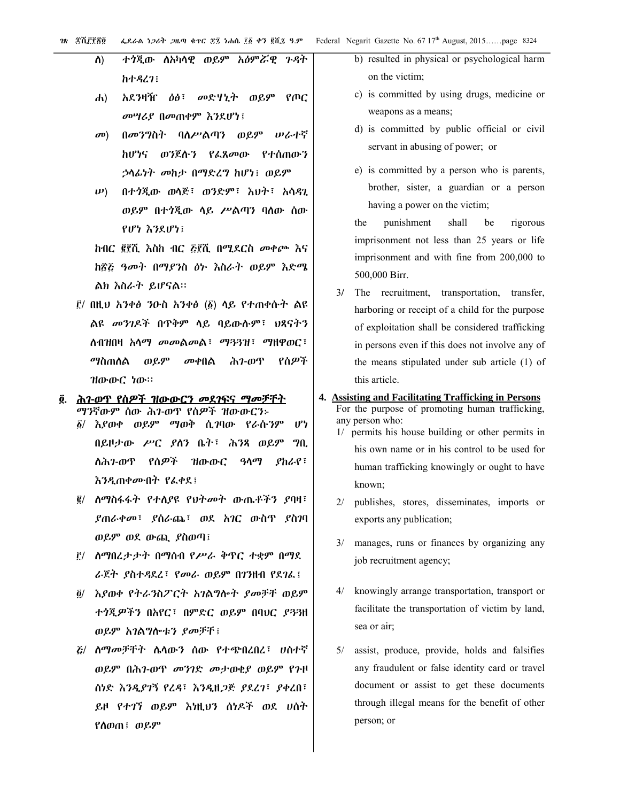- ለ) ተጎጂው ለአካላዊ ወይም አዕምሯዊ ጉዳት ከተዳረገ፤
- ሐ) አደንዛዥ ዕፅ፣ መድሃኒት ወይም የጦር መሣሪያ በመጠቀም እንደሆነ፤
- መ) በመንግስት ባለሥልጣን ወይም ሠራተኛ ከሆነና ወንጀሉን የፈጸመው የተሰጠውን ኃላፊነት መከታ በማድረግ ከሆነ፤ ወይም
- ሠ) በተጎጂው ወላጅ፣ ወንድም፣ እህት፣ አሳዳጊ ወይም በተጎጂው ላይ ሥልጣን ባለው ሰው የሆነ እንደሆነ፤

ከብር ፪፻ሺ እስከ ብር ፭፻ሺ በሚደርስ መቀጮ እና ከ፳፭ ዓመት በማያንስ ፅኑ እስራት ወይም እድሜ ልክ እስራት ይሆናል፡፡

፫/ በዚህ አንቀፅ ንዑስ አንቀፅ (፩) ላይ የተጠቀሱት ልዩ ልዩ መንገዶች በጥቅም ላይ ባይውሉም፣ ህጻናትን ለብዝበዛ አላማ መመልመል፣ ማጓጓዝ፣ ማዘዋወር፣ ማስጠለል ወይም መቀበል ሕገ-ወጥ የሰዎች ዝውውር ነው፡፡

#### ፬. <u>ሕገ-ወጥ የሰዎች ዝውውርን መደገፍና ማመቻቸት</u>

ማንኛውም ሰው ሕገ-ወጥ የሰዎች ዝውውርን፦

- ፩/ እያወቀ ወይም ማወቅ ሲገባው የራሱንም ሆነ በይዞታው ሥር ያለን ቤት፣ ሕንጻ ወይም ግቢ ለሕገ-ወጥ የሰዎች ዝውውር ዓላማ ያከራየ፣ እንዲጠቀሙበት የፈቀደ፤
- ፪/ ለማስፋፋት የተለያዩ የህትመት ውጤቶችን ያባዛ፣ ያጠራቀመ፣ ያሰራጨ፣ ወደ አገር ውስጥ ያስገባ ወይም ወደ ውጪ ያስወጣ፤
- ፫/ ለማበረታታት በማሰብ የሥራ ቅጥር ተቋም በማደ ራጀት ያስተዳደረ፣ የመራ ወይም በገንዘብ የደገፈ፤
- ፬/ እያወቀ የትራንስፖርት አገልግሎት ያመቻቸ ወይም ተጎጂዎችን በአየር፣ በምድር ወይም በባህር ያጓጓዘ ወይም አገልግሎቱን ያመቻቸ፤
- ፭/ ለማመቻቸት ሌላውን ሰው የተጭበረበረ፣ ሀሰተኛ ወይም በሕገ‐ወጥ መንገድ መታወቂያ ወይም የጉዞ ሰነድ እንዲያገኝ የረዳ፣ እንዲዘጋጅ ያደረገ፣ ያቀረበ፣ ይዞ የተገኘ ወይም እነዚህን ሰነዶች ወደ ሀሰት የለወጠ፤ ወይም
- b) resulted in physical or psychological harm on the victim;
- c) is committed by using drugs, medicine or weapons as a means;
- d) is committed by public official or civil servant in abusing of power; or
- e) is committed by a person who is parents, brother, sister, a guardian or a person having a power on the victim;

the punishment shall be rigorous imprisonment not less than 25 years or life imprisonment and with fine from 200,000 to 500,000 Birr.

3**/** The recruitment, transportation, transfer, harboring or receipt of a child for the purpose of exploitation shall be considered trafficking in persons even if this does not involve any of the means stipulated under sub article (1) of this article.

#### **4. Assisting and Facilitating Trafficking in Persons**

For the purpose of promoting human trafficking, any person who:

- 1/ permits his house building or other permits in his own name or in his control to be used for human trafficking knowingly or ought to have known;
- 2/ publishes, stores, disseminates, imports or exports any publication;
- 3/ manages, runs or finances by organizing any job recruitment agency;
- 4/ knowingly arrange transportation, transport or facilitate the transportation of victim by land, sea or air;
- 5/ assist, produce, provide, holds and falsifies any fraudulent or false identity card or travel document or assist to get these documents through illegal means for the benefit of other person; or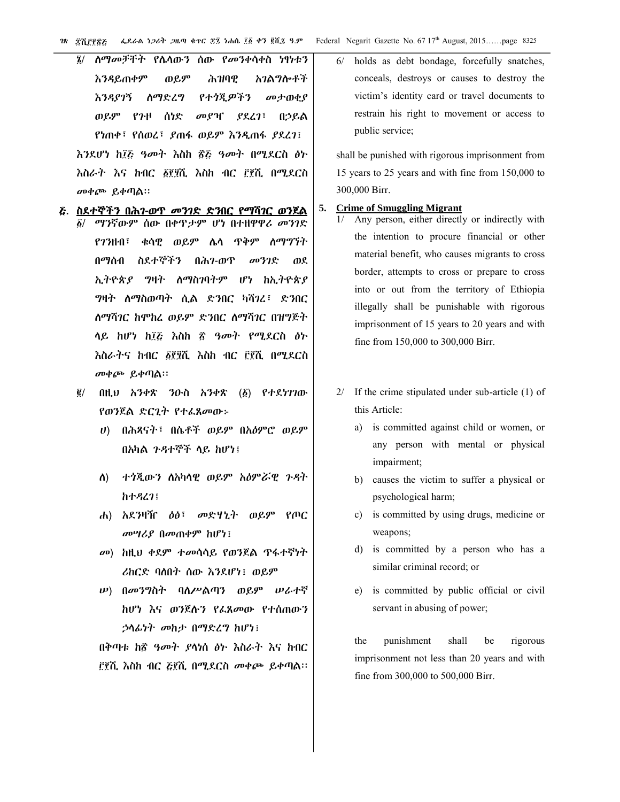፮/ ለማመቻቸት የሌላውን ሰው የመንቀሳቀስ ነፃነቱን እንዳይጠቀም ወይም ሕዝባዊ አገልግሎቶች እንዳያገኝ ለማድረግ የተጎጂዎችን መታወቂያ ወይም የጉዞ ሰነድ መያዣ ያደረገ፣ በኃይል የነጠቀ፣ የሰወረ፣ ያጠፋ ወይም እንዲጠፋ ያደረገ፤ እንደሆነ ከ፲፭ ዓመት እስከ ፳፭ ዓመት በሚደርስ ፅኑ እስራት እና ከብር ፩፻፶ሺ እስከ ብር ፫፻ሺ በሚደርስ መቀጮ ይቀጣል፡፡

#### ፭. ስደተኞችን በሕገ-ወጥ መንገድ ድንበር የማሻገር ወንጀል

- ፩/ ማንኛውም ሰው በቀጥታም ሆነ በተዘዋዋሪ መንገድ የገንዘብ፣ ቁሳዊ ወይም ሌላ ጥቅም ለማግኘት በማሰብ ስደተኞችን በሕገ-ወጥ መንገድ ወደ ኢትዮጵያ ግዛት ለማስገባትም ሆነ ከኢትዮጵያ ግዛት ለማስወጣት ሲል ድንበር ካሻገረ፣ ድንበር ለማሻገር ከሞከረ ወይም ድንበር ለማሻገር በዝግጅት ላይ ከሆነ ከ፲፭ እስከ ፳ ዓመት የሚደርስ ፅኑ እስራትና ከብር ፩፻፶ሺ እስከ ብር ፫፻ሺ በሚደርስ መቀጮ ይቀጣል፡፡
	- ፪/ በዚህ አንቀጽ ንዑስ አንቀጽ (፩) የተደነገገው የወንጀል ድርጊት የተፈጸመው፦
		- ሀ) በሕጻናት፣ በሴቶች ወይም በአዕምሮ ወይም በአካል ጉዳተኞች ላይ ከሆነ፤
		- ለ) ተጎጂውን ለአካላዊ ወይም አዕምሯዊ ጉዳት ከተዳረገ፤
		- ሐ) አደንዛዥ ዕፅ፣ መድሃኒት ወይም የጦር መሣሪያ በመጠቀም ከሆነ፤
		- መ) ከዚህ ቀደም ተመሳሳይ የወንጀል ጥፋተኛነት ሪከርድ ባለበት ሰው እንደሆነ፤ ወይም
		- ሠ) በመንግስት ባለሥልጣን ወይም ሠራተኛ ከሆነ እና ወንጀሉን የፈጸመው የተሰጠውን ኃላፊነት መከታ በማድረግ ከሆነ፤

በቅጣቱ ከ፳ ዓመት ያላነሰ ፅኑ እስራት እና ከብር ፫፻ሺ እስከ ብር ፭፻ሺ በሚደርስ መቀጮ ይቀጣል፡፡ 6/ holds as debt bondage, forcefully snatches, conceals, destroys or causes to destroy the victim's identity card or travel documents to restrain his right to movement or access to public service;

shall be punished with rigorous imprisonment from 15 years to 25 years and with fine from 150,000 to 300,000 Birr.

- **5. Crime of Smuggling Migrant** 
	- Any person, either directly or indirectly with the intention to procure financial or other material benefit, who causes migrants to cross border, attempts to cross or prepare to cross into or out from the territory of Ethiopia illegally shall be punishable with rigorous imprisonment of 15 years to 20 years and with fine from 150,000 to 300,000 Birr.
	- 2/ If the crime stipulated under sub-article (1) of this Article:
		- a) is committed against child or women, or any person with mental or physical impairment;
		- b) causes the victim to suffer a physical or psychological harm;
		- c) is committed by using drugs, medicine or weapons;
		- d) is committed by a person who has a similar criminal record; or
		- e) is committed by public official or civil servant in abusing of power;

the punishment shall be rigorous imprisonment not less than 20 years and with fine from 300,000 to 500,000 Birr.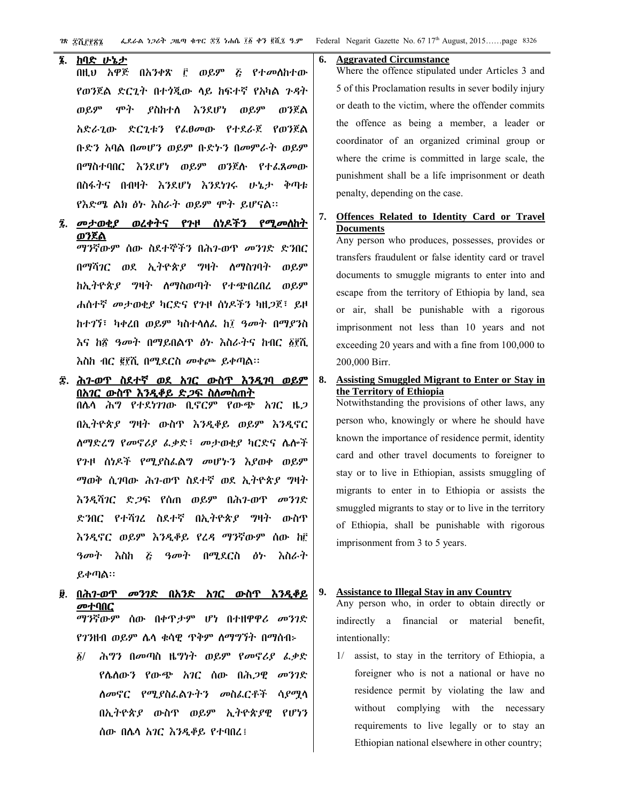- ፮. ከባድ ሁኔታ በዚህ አዋጅ በአንቀጽ ፫ ወይም ፭ የተመለከተው የወንጀል ድርጊት በተጎጂው ላይ ከፍተኛ የአካል ጉዳት ወይም ሞት ያስከተለ እንደሆነ ወይም ወንጀል አድራጊው ድርጊቱን የፈፀመው የተደራጀ የወንጀል ቡድን አባል በመሆን ወይም ቡድኑን በመምራት ወይም በማስተባበር እንደሆነ ወይም ወንጀሉ የተፈጸመው በስፋትና በብዛት እንደሆነ እንደነገሩ ሁኔታ ቅጣቱ የእድሜ ልክ ፅኑ እስራት ወይም ሞት ይሆናል፡፡
- ፯. መታወቂያ ወረቀትና የጉዞ ሰነዶችን የሚመለከት ወንጀል

ማንኛውም ሰው ስደተኞችን በሕገ-ወጥ መንገድ ድንበር በማሻገር ወደ ኢትዮጵያ ግዛት ለማስገባት ወይም ከኢትዮጵያ ግዛት ለማስወጣት የተጭበረበረ ወይም ሐሰተኛ መታወቂያ ካርድና የጉዞ ሰነዶችን ካዘጋጀ፣ ይዞ ከተገኘ፣ ካቀረበ ወይም ካስተላለፈ ከ፲ ዓመት በማያንስ እና ከ፳ ዓመት በማይበልጥ ፅኑ እስራትና ከብር ፩፻ሺ እስከ ብር ፪፻ሺ በሚደርስ መቀጮ ይቀጣል፡፡

- ፰. ሕገ‐ወጥ ስደተኛ ወደ አገር ውስጥ እንዲገባ ወይም <u>በአገር ውስጥ እንዲቆይ ድ*ጋ*ፍ ስለመስጠት</u> በሌላ ሕግ የተደነገገው ቢኖርም የውጭ አገር ዜጋ በኢትዮጵያ ግዛት ውስጥ እንዲቆይ ወይም እንዲኖር ለማድረግ የመኖሪያ ፈቃድ፣ መታወቂያ ካርድና ሌሎች የጉዞ ሰነዶች የሚያስፈልግ መሆኑን እያወቀ ወይም ማወቅ ሲገባው ሕገ‐ወጥ ስደተኛ ወደ ኢትዮጵያ ግዛት እንዲሻገር ድጋፍ የሰጠ ወይም በሕገ-ወጥ መንገድ ድንበር የተሻገረ ስደተኛ በኢትዮጵያ ግዛት ውስጥ እንዲኖር ወይም እንዲቆይ የረዳ ማንኛውም ሰው ከ፫ ዓመት እስከ ፭ ዓመት በሚደርስ ፅኑ እስራት ይቀጣል፡፡
- <u>፱. በሕገ-ወጥ መንገድ በአንድ አገር ውስጥ እንዲቆይ</u> መተባበር ማንኛውም ሰው በቀጥታም ሆነ በተዘዋዋሪ መንገድ

የገንዘብ ወይም ሌላ ቁሳዊ ጥቅም ለማግኘት በማሰብ፦

፩/ ሕግን በመጣስ ዜግነት ወይም የመኖሪያ ፈቃድ የሌለውን የውጭ አገር ሰው በሕጋዊ መንገድ ለመኖር የሚያስፈልጉትን መስፈርቶች ሳያሟላ በኢትዮጵያ ውስጥ ወይም ኢትዮጵያዊ የሆነን ሰው በሌላ አገር እንዲቆይ የተባበረ፤

#### **6. Aggravated Circumstance**

Where the offence stipulated under Articles 3 and 5 of this Proclamation results in sever bodily injury or death to the victim, where the offender commits the offence as being a member, a leader or coordinator of an organized criminal group or where the crime is committed in large scale, the punishment shall be a life imprisonment or death penalty, depending on the case.

- **7. Offences Related to Identity Card or Travel Documents** Any person who produces, possesses, provides or transfers fraudulent or false identity card or travel documents to smuggle migrants to enter into and escape from the territory of Ethiopia by land, sea or air, shall be punishable with a rigorous imprisonment not less than 10 years and not exceeding 20 years and with a fine from 100,000 to
- **8. Assisting Smuggled Migrant to Enter or Stay in the Territory of Ethiopia**

200,000 Birr.

Notwithstanding the provisions of other laws, any person who, knowingly or where he should have known the importance of residence permit, identity card and other travel documents to foreigner to stay or to live in Ethiopian, assists smuggling of migrants to enter in to Ethiopia or assists the smuggled migrants to stay or to live in the territory of Ethiopia, shall be punishable with rigorous imprisonment from 3 to 5 years.

#### **9. Assistance to Illegal Stay in any Country**

Any person who, in order to obtain directly or indirectly a financial or material benefit, intentionally:

1/ assist, to stay in the territory of Ethiopia, a foreigner who is not a national or have no residence permit by violating the law and without complying with the necessary requirements to live legally or to stay an Ethiopian national elsewhere in other country;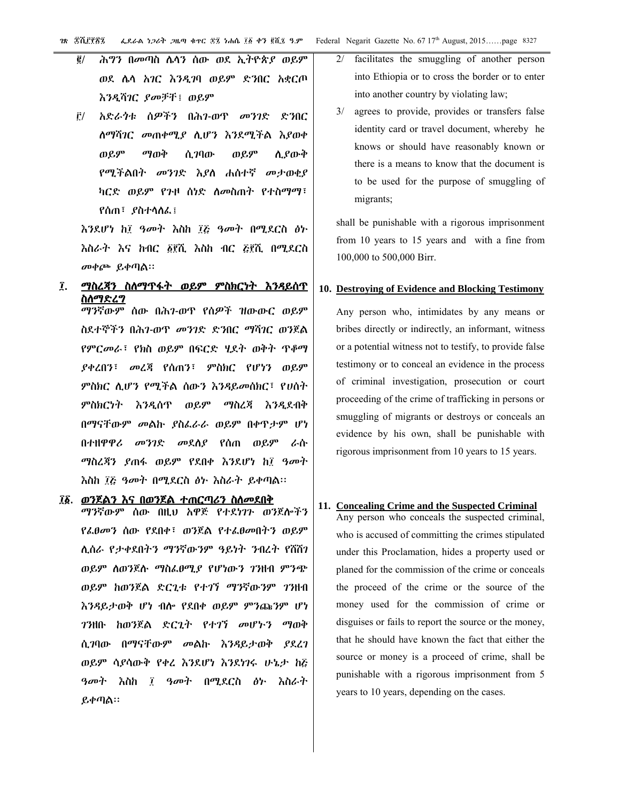- ፪/ ሕግን በመጣስ ሌላን ሰው ወደ ኢትዮጵያ ወይም ወደ ሌላ አገር እንዲገባ ወይም ድንበር አቋርጦ እንዲሻገር ያመቻቸ፤ ወይም
- ፫/ አድራጎቱ ሰዎችን በሕገ-ወጥ መንገድ ድንበር ለማሻገር መጠቀሚያ ሊሆን እንደሚችል እያወቀ ወይም ማወቅ ሲገባው ወይም ሊያውቅ የሚችልበት መንገድ እያለ ሐሰተኛ መታወቂያ ካርድ ወይም የጉዞ ሰነድ ለመስጠት የተስማማ፣ የሰጠ፣ ያስተላለፈ፤

እንደሆነ ከ፲ ዓመት እስከ ፲፭ ዓመት በሚደርስ ፅኑ እስራት እና ከብር ፩፻ሺ እስከ ብር ፭፻ሺ በሚደርስ መቀጮ ይቀጣል፡፡

፲. ማስረጃን ስለማጥፋት ወይም ምስክርነት እንዳይሰጥ ስለማድረግ

ማንኛውም ሰው በሕገ‐ወጥ የሰዎች ዝውውር ወይም ስደተኞችን በሕገ-ወጥ መንገድ ድንበር ማሻገር ወንጀል የምርመራ፣ የክስ ወይም በፍርድ ሂደት ወቅት ጥቆማ ያቀረበን፣ መረጃ የሰጠን፣ ምስክር የሆነን ወይም ምስክር ሊሆን የሚችል ሰውን እንዳይመሰክር፣ የሀሰት ምስክርነት እንዲሰጥ ወይም ማስረጃ እንዲደብቅ በማናቸውም መልኩ ያስፈራራ ወይም በቀጥታም ሆነ በተዘዋዋሪ መንገድ መደለያ የሰጠ ወይም ራሱ ማስረጃን ያጠፋ ወይም የደበቀ እንደሆነ ከ፲ ዓመት እስከ ፲፭ ዓመት በሚደርስ ፅኑ እስራት ይቀጣል፡፡

፲፩. ወንጀልን እና በወንጀል ተጠርጣሪን ስለመደበቅ

ማንኛውም ሰው በዚህ አዋጅ የተደነገጉ ወንጀሎችን የፈፀመን ሰው የደበቀ፣ ወንጀል የተፈፀመበትን ወይም ሊሰራ የታቀደበትን ማንኛውንም ዓይነት ንብረት የሸሸገ ወይም ለወንጀሉ ማስፈፀሚያ የሆነውን ገንዘብ ምንጭ ወይም ከወንጀል ድርጊቱ የተገኘ ማንኛውንም ገንዘብ እንዳይታወቅ ሆነ ብሎ የደበቀ ወይም ምንጩንም ሆነ ገንዘቡ ከወንጀል ድርጊት የተገኘ መሆኑን ማወቅ ሲገባው በማናቸውም መልኩ እንዳይታወቅ ያደረገ ወይም ሳያሳውቅ የቀረ እንደሆነ እንደነገሩ ሁኔታ ከ፭ ዓመት እስከ ፲ ዓመት በሚደርስ ፅኑ እስራት ይቀጣል፡፡

- facilitates the smuggling of another person into Ethiopia or to cross the border or to enter into another country by violating law;
- 3/ agrees to provide, provides or transfers false identity card or travel document, whereby he knows or should have reasonably known or there is a means to know that the document is to be used for the purpose of smuggling of migrants;

shall be punishable with a rigorous imprisonment from 10 years to 15 years and with a fine from 100,000 to 500,000 Birr.

#### **10. Destroying of Evidence and Blocking Testimony**

Any person who, intimidates by any means or bribes directly or indirectly, an informant, witness or a potential witness not to testify, to provide false testimony or to conceal an evidence in the process of criminal investigation, prosecution or court proceeding of the crime of trafficking in persons or smuggling of migrants or destroys or conceals an evidence by his own, shall be punishable with rigorous imprisonment from 10 years to 15 years.

#### **11. Concealing Crime and the Suspected Criminal**

Any person who conceals the suspected criminal, who is accused of committing the crimes stipulated under this Proclamation, hides a property used or planed for the commission of the crime or conceals the proceed of the crime or the source of the money used for the commission of crime or disguises or fails to report the source or the money, that he should have known the fact that either the source or money is a proceed of crime, shall be punishable with a rigorous imprisonment from 5 years to 10 years, depending on the cases.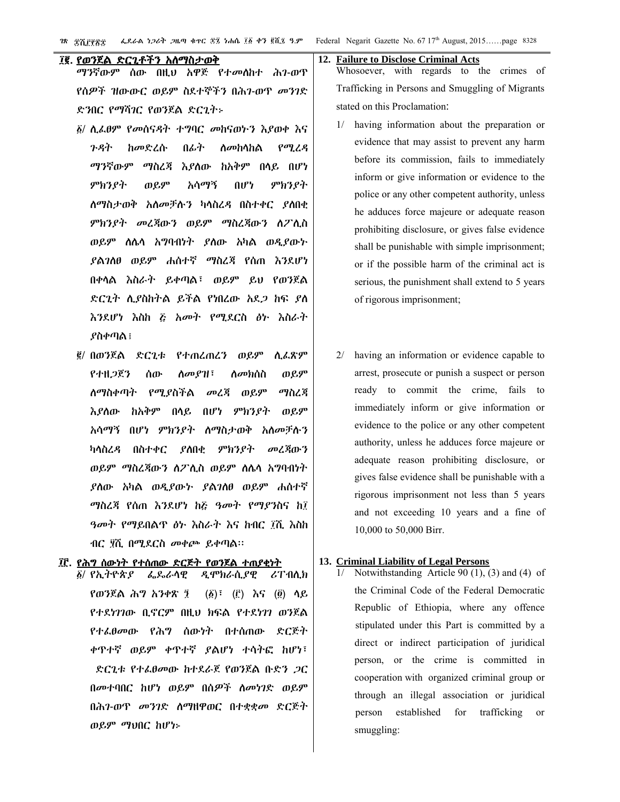| ፲፪. <u>የወንጀል ድርጊቶችን አስማስታወቅ</u>                |    | 12. Failure to I |
|------------------------------------------------|----|------------------|
| ሰው በዚህ አዋጅ የተመለከተ ሕን-ወጥ<br>ማንኛውም               |    | Whosoever,       |
| የሰዎች ዝውውር ወይም ስደተኞችን በሕገ-ወዋ <i>መንገ</i> ድ       |    | Trafficking      |
| ድንበር የማሻገር የወንጀል ድርጊት፦                         |    | stated on thi    |
| ፩/ ሲፌፀም የመሰናዳት ተግባር መከናወኮን እያወቀ እና             |    | $1/$ having      |
| ከመድረሱ በፊት ስመከሳከል የሚረዳ<br>ንዳት -                 |    | evidenc          |
| ማንኛውም ማስረጃ እያሰው ከአቅም በሳይ በሆነ                   |    | before           |
| ምክንያት ወይም አሳማኝ በሆነ ምክንያት                       |    | inform           |
| ለማስታወቅ አለመቻሉን ካላስሬዳ በስተቀር ያለበቂ                 |    | police o         |
|                                                |    | he addi          |
| ምክንያት መረጃውን ወይም ማስረጃውን ስፖሊስ                    |    | prohibi          |
| ወይም ስሴሳ አግባብነት ያስው አካል ወዲያውት                   |    | shall be         |
| <i>ያ</i> ል <i>ገ</i> ለፀ ወይም ሐሰተኛ ማስረጃ የሰጠ እንደሆነ |    | or if th         |
| በቀሳል እስራት ይቀጣል፣ ወይም ይህ የወንጀል                   |    | serious,         |
| ድርጊት ሲያስከትል ይችል የነበረው አደ <i>ጋ</i> ከፍ ያለ        |    | of rigor         |
| እንደሆነ እስከ ፩ አመት የሚደርስ ፅ৮ እስራት                  |    |                  |
| ያስቀጣል ፤                                        |    |                  |
| ፪/ በወንጀል ድርጊቱ የተጠረጠረን ወይም ሲራጽም                 | 2/ | having           |

የተዘጋጀን ሰው ለመያዝ፣ ለመክሰስ ወይም ለማስቀጣት የሚያስችል መረጃ ወይም ማስረጃ እያለው ከአቅም በላይ በሆነ ምክንያት ወይም አሳማኝ በሆነ ምክንያት ለማስታወቅ አለመቻሉን ካላስረዳ በስተቀር ያለበቂ ምክንያት መረጃውን ወይም ማስረጃውን ለፖሊስ ወይም ለሌላ አግባብነት ያለው አካል ወዲያውኑ ያልገለፀ ወይም ሐሰተኛ ማስረጃ የሰጠ እንደሆነ ከ፭ ዓመት የማያንስና ከ፲ ዓመት የማይበልጥ ፅኑ እስራት እና ከብር ፲ሺ እስከ ብር ፶ሺ በሚደርስ መቀጮ ይቀጣል፡፡

#### ፲፫. የሕግ ሰውነት የተሰጠው ድርጅት የወንጀል ተጠያቂነት

፩/ የኢትዮጵያ ፌዴራላዊ ዲሞክራሲያዊ ሪፐብሊክ የወንጀል ሕግ አንቀጽ ፺ (፩)፣ (፫) እና (፬) ላይ የተደነገገው ቢኖርም በዚህ ክፍል የተደነገገ ወንጀል የተፈፀመው የሕግ ሰውነት በተሰጠው ድርጅት ቀጥተኛ ወይም ቀጥተኛ ያልሆነ ተሳትፎ ከሆነ፣ ድርጊቱ የተፈፀመው ከተደራጀ የወንጀል ቡድን ጋር በመተባበር ከሆነ ወይም በሰዎች ለመነገድ ወይም በሕገ‐ወጥ መንገድ ለማዘዋወር በተቋቋመ ድርጅት ወይም ማህበር ከሆነ፦

#### **12. Failure to Disclose Criminal Acts**

with regards to the crimes of in Persons and Smuggling of Migrants is Proclamation:

- information about the preparation or eve that may assist to prevent any harm its commission, fails to immediately or give information or evidence to the por any other competent authority, unless uces force majeure or adequate reason ting disclosure, or gives false evidence e punishable with simple imprisonment; e possible harm of the criminal act is the punishment shall extend to 5 years ous imprisonment;
- an information or evidence capable to arrest, prosecute or punish a suspect or person ready to commit the crime, fails to immediately inform or give information or evidence to the police or any other competent authority, unless he adduces force majeure or adequate reason prohibiting disclosure, or gives false evidence shall be punishable with a rigorous imprisonment not less than 5 years and not exceeding 10 years and a fine of 10,000 to 50,000 Birr.

#### **13. Criminal Liability of Legal Persons**

Notwithstanding Article 90 (1), (3) and (4) of the Criminal Code of the Federal Democratic Republic of Ethiopia, where any offence stipulated under this Part is committed by a direct or indirect participation of juridical person, or the crime is committed in cooperation with organized criminal group or through an illegal association or juridical person established for trafficking or smuggling: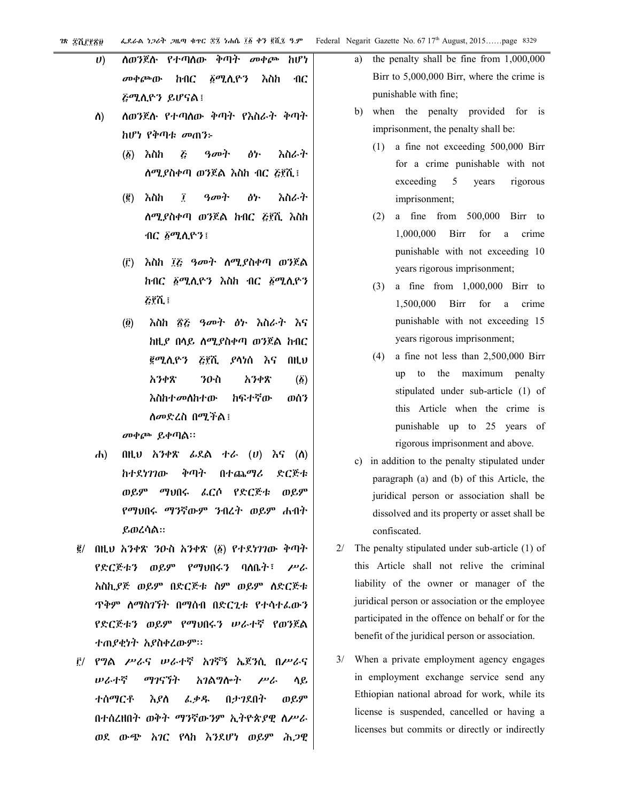| ሀ) ሰወንጀሱ የተጣሰው ቅጣት መቀጮ ከሆነ    |  |  |
|-------------------------------|--|--|
| መቀጮው ከብር ፩ሚሲዮን እስከ ብር         |  |  |
| <i><b>&amp;ሚሲዮን ይሆናል፤</b></i> |  |  |

- ለ) ለወንጀሉ የተጣለው ቅጣት የእስራት ቅጣት ከሆነ የቅጣቱ መጠን፦
	- (፩) እስከ ፭ ዓመት ፅኑ እስራት ለሚያስቀጣ ወንጀል እስከ ብር ፭፻ሺ፤
	- (፪) እስከ ፲ ዓመት ፅኑ እስራት ለሚያስቀጣ ወንጀል ከብር ፭፻ሺ እስከ ብር ፩ሚሊዮን፤
	- (፫) እስከ ፲፭ ዓመት ለሚያስቀጣ ወንጀል ከብር ፩ሚሊዮን እስከ ብር ፩ሚሊዮን ፭፻ሺ፤
	- (፬) እስከ ፳፭ ዓመት ፅኑ እስራት እና ከዚያ በላይ ለሚያስቀጣ ወንጀል ከብር ፪ሚሊዮን ፭፻ሺ ያላነሰ እና በዚህ አንቀጽ ንዑስ አንቀጽ (፩) እስከተመለከተው ከፍተኛው ወሰን ለመድረስ በሚችል፤

መቀጮ ይቀጣል፡፡

- ሐ) በዚህ አንቀጽ ፊደል ተራ (ሀ) እና (ለ) ከተደነገገው ቅጣት በተጨማሪ ድርጅቱ ወይም ማህበሩ ፈርሶ የድርጅቱ ወይም የማህበሩ ማንኛውም ንብረት ወይም ሐብት ይወረሳል።
- ፪/ በዚህ አንቀጽ ንዑስ አንቀጽ (፩) የተደነገገው ቅጣት የድርጅቱን ወይም የማህበሩን ባለቤት፣ ሥራ አስኪያጅ ወይም በድርጅቱ ስም ወይም ለድርጅቱ ጥቅም ለማስገኘት በማሰብ በድርጊቱ የተሳተፈውን የድርጅቱን ወይም የማህበሩን ሠራተኛ የወንጀል ተጠያቂነት አያስቀረውም፡፡
- ፫/ የግል ሥራና ሠራተኛ አገኛኝ ኤጀንሲ በሥራና ሠራተኛ ማገናኘት አገልግሎት ሥራ ላይ ተሰማርቶ እያለ ፈቃዱ በታገደበት ወይም በተሰረዘበት ወቅት ማንኛውንም ኢትዮጵያዊ ለሥራ ወደ ውጭ አገር የላከ እንደሆነ ወይም ሕጋዊ

a) the penalty shall be fine from 1,000,000 Birr to 5,000,000 Birr, where the crime is punishable with fine;

- b) when the penalty provided for is imprisonment, the penalty shall be:
	- (1) a fine not exceeding 500,000 Birr for a crime punishable with not exceeding 5 years rigorous imprisonment;
	- (2) a fine from 500,000 Birr to 1,000,000 Birr for a crime punishable with not exceeding 10 years rigorous imprisonment;
	- (3) a fine from 1,000,000 Birr to 1,500,000 Birr for a crime punishable with not exceeding 15 years rigorous imprisonment;
	- (4) a fine not less than 2,500,000 Birr up to the maximum penalty stipulated under sub-article (1) of this Article when the crime is punishable up to 25 years of rigorous imprisonment and above.
- c) in addition to the penalty stipulated under paragraph (a) and (b) of this Article, the juridical person or association shall be dissolved and its property or asset shall be confiscated.
- 2/ The penalty stipulated under sub-article (1) of this Article shall not relive the criminal liability of the owner or manager of the juridical person or association or the employee participated in the offence on behalf or for the benefit of the juridical person or association.
- 3/ When a private employment agency engages in employment exchange service send any Ethiopian national abroad for work, while its license is suspended, cancelled or having a licenses but commits or directly or indirectly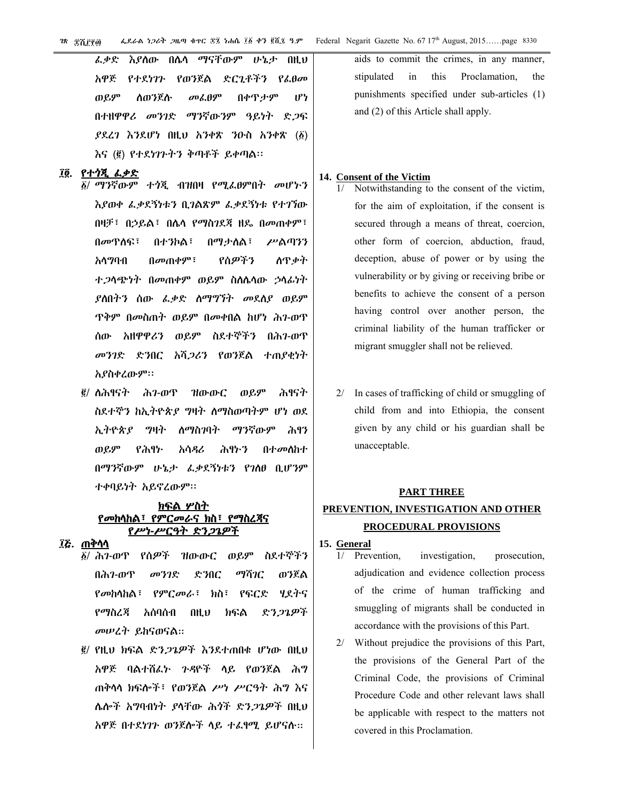| ፌቃድ እያሰው በሴሳ ማናቸውም ሁኔታ በዚህ                                |  |  |
|-----------------------------------------------------------|--|--|
| አዋጅ የተደነገጉ የወንጀል ድርጊቶችን የፌፀመ                              |  |  |
| ወይም ሰወንጀሱ መፌፀም በቀጥታም ሆነ                                   |  |  |
| በተዘዋዋሪ መንገድ ማንኛውንም ዓይነት ድ <i>ጋ</i> ፍ                      |  |  |
| $\ell$ ደረገ እንደሆነ በዚህ አንቀጽ ንዑስ አንቀጽ $(\underline{\delta})$ |  |  |
| እና (፪) የተደነገጉትን ቅጣቶች ይቀጣል፡፡                               |  |  |

#### ፲፬. የተጎጂ ፈቃድ

- ፩/ ማንኛውም ተጎጂ ብዝበዛ የሚፈፀምበት መሆኑን እያወቀ ፈቃደኝነቱን ቢገልጽም ፈቃደኝነቱ የተገኘው በዛቻ፣ በኃይል፣ በሌላ የማስገደጃ ዘዴ በመጠቀም፣ በመጥለፍ፣ በተንኮል፣ በማታለል፣ ሥልጣንን አላግባብ በመጠቀም፣ የሰዎችን ለጥቃት ተጋላጭነት በመጠቀም ወይም ስለሌላው ኃላፊነት ያለበትን ሰው ፈቃድ ለማግኘት መደለያ ወይም ጥቅም በመስጠት ወይም በመቀበል ከሆነ ሕገ-ወጥ ሰው አዘዋዋሪን ወይም ስደተኞችን በሕገ-ወጥ መንገድ ድንበር አሻጋሪን የወንጀል ተጠያቂነት አያስቀረውም፡፡
	- ፪/ ለሕፃናት ሕገ-ወጥ ዝውውር ወይም ሕፃናት ስደተኞን ከኢትዮጵያ ግዛት ለማስወጣትም ሆነ ወደ ኢትዮጵያ ግዛት ለማስገባት ማንኛውም ሕፃን ወይም የሕፃኑ አሳዳሪ ሕፃኑን በተመለከተ በማንኛውም ሁኔታ ፈቃደኝነቱን የገለፀ ቢሆንም ተቀባይነት አይኖረውም፡፡

#### <u>ክፍል ሦስት</u> የመከላከል፣ የምርመራና ክስ፣ የማስረጃና የሥነ-ሥርዓት ድንጋጌዎች

#### ፲፭. ጠቅላላ

- ፩/ ሕገ-ወጥ የሰዎች ዝውውር ወይም ስደተኞችን በሕገ-ወጥ መንገድ ድንበር ማሻገር ወንጀል የመከላከል፣ የምርመራ፣ ክስ፣ የፍርድ ሂደትና የማስረጃ አሰባሰብ በዚህ ክፍል ድንጋጌዎች መሠረት ይከናወናል።
- ፪/ የዚህ ክፍል ድንጋጌዎች እንደተጠበቁ ሆነው በዚህ አዋጅ ባልተሸፈኑ ጉዳዮች ላይ የወንጀል ሕግ ጠቅላላ ክፍሎች፣ የወንጀል ሥነ ሥርዓት ሕግ እና ሌሎች አግባብነት ያላቸው ሕጎች ድንጋጌዎች በዚህ አዋጅ በተደነገጉ ወንጀሎች ላይ ተፈፃሚ ይሆናሉ።

aids to commit the crimes, in any manner, stipulated in this Proclamation, the punishments specified under sub-articles (1) and (2) of this Article shall apply.

#### **14. Consent of the Victim**

- 1/ Notwithstanding to the consent of the victim, for the aim of exploitation, if the consent is secured through a means of threat, coercion, other form of coercion, abduction, fraud, deception, abuse of power or by using the vulnerability or by giving or receiving bribe or benefits to achieve the consent of a person having control over another person, the criminal liability of the human trafficker or migrant smuggler shall not be relieved.
- 2/ In cases of trafficking of child or smuggling of child from and into Ethiopia, the consent given by any child or his guardian shall be unacceptable.

## **PART THREE PREVENTION, INVESTIGATION AND OTHER PROCEDURAL PROVISIONS**

#### **15. General**

- 1/ Prevention, investigation, prosecution, adjudication and evidence collection process of the crime of human trafficking and smuggling of migrants shall be conducted in accordance with the provisions of this Part.
- 2/ Without prejudice the provisions of this Part, the provisions of the General Part of the Criminal Code, the provisions of Criminal Procedure Code and other relevant laws shall be applicable with respect to the matters not covered in this Proclamation.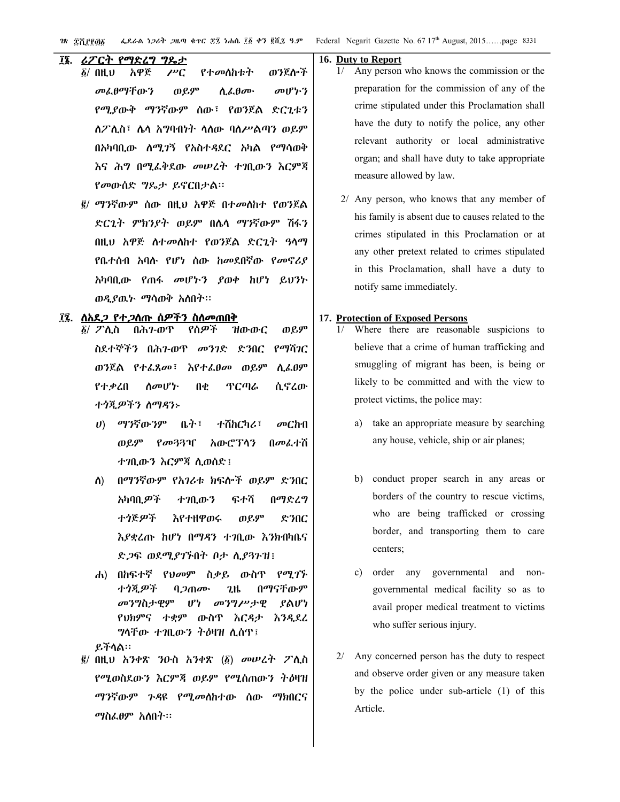#### ፲፮. ሪፖርት የማድረግ ግዴታ

- ፩/ በዚህ አዋጅ ሥር የተመለከቱት ወንጀሎች መፈፀማቸውን ወይም ሊፈፀሙ መሆኑን የሚያውቅ ማንኛውም ሰው፣ የወንጀል ድርጊቱን ለፖሊስ፣ ሌላ አግባብነት ላለው ባለሥልጣን ወይም በአካባቢው ለሚገኝ የአስተዳደር አካል የማሳወቅ እና ሕግ በሚፈቅደው መሠረት ተገቢውን እርምጃ የመውሰድ ግዴታ ይኖርበታል፡፡
	- ፪/ ማንኛውም ሰው በዚህ አዋጅ በተመለከተ የወንጀል ድርጊት ምክንያት ወይም በሌላ ማንኛውም ሽፋን በዚህ አዋጅ ለተመለከተ የወንጀል ድርጊት ዓላማ የቤተሰብ አባሉ የሆነ ሰው ከመደበኛው የመኖሪያ አካባቢው የጠፋ መሆኑን ያወቀ ከሆነ ይህንኑ ወዲያዉኑ ማሳወቅ አለበት፡፡

#### ፲፯. ለአደጋ የተጋለጡ ሰዎችን ስለመጠበቅ

- ፩/ ፖሊስ በሕገ-ወጥ የሰዎች ዝውውር ወይም ስደተኞችን በሕገ-ወጥ መንገድ ድንበር የማሻገር ወንጀል የተፈጸመ፣ እየተፈፀመ ወይም ሊፈፀም የተቃረበ ለመሆኑ በቂ ጥርጣሬ ሲኖረው ተጎጂዎችን ለማዳን፦
	- ሀ) ማንኛውንም ቤት፣ ተሸከርካሪ፣ መርከብ ወይም የመጓጓዣ አውሮፕላን በመፈተሸ ተገቢውን እርምጃ ሊወሰድ፤
	- ለ) በማንኛውም የአገሪቱ ክፍሎች ወይም ድንበር አካባቢዎች ተገቢውን ፍተሻ በማድረግ ተጎጅዎች እየተዘዋወሩ ወይም ድንበር እያቋረጡ ከሆነ በማዳን ተገቢው እንክብካቤና ድጋፍ ወደሚያገኙበት ቦታ ሊያጓጉዝ፤
	- ሐ) በከፍተኛ የህመም ስቃይ ውስጥ የሚገኙ ተጎጂዎች ባጋጠሙ ጊዜ በማናቸውም መንግስታዊም ሆነ መንግሥታዊ ያልሆነ የህክምና ተቋም ውስጥ እርዳታ እንዲደረ ግላቸው ተገቢውን ትዕዛዝ ሊሰጥ፤ ይችላል፡፡
	- ፪/ በዚህ አንቀጽ ንዑስ አንቀጽ (፩) መሠረት ፖሊስ የሚወስደውን እርምጃ ወይም የሚሰጠውን ትዕዛዝ ማንኛውም ጉዳዩ የሚመለከተው ሰው ማክበርና ማስፈፀም አለበት፡፡

## **16. Duty to Report**

- 1/ Any person who knows the commission or the preparation for the commission of any of the crime stipulated under this Proclamation shall have the duty to notify the police, any other relevant authority or local administrative organ; and shall have duty to take appropriate measure allowed by law.
- 2/ Any person, who knows that any member of his family is absent due to causes related to the crimes stipulated in this Proclamation or at any other pretext related to crimes stipulated in this Proclamation, shall have a duty to notify same immediately.

#### **17. Protection of Exposed Persons**

- Where there are reasonable suspicions to believe that a crime of human trafficking and smuggling of migrant has been, is being or likely to be committed and with the view to protect victims, the police may:
	- a) take an appropriate measure by searching any house, vehicle, ship or air planes;
	- b) conduct proper search in any areas or borders of the country to rescue victims, who are being trafficked or crossing border, and transporting them to care centers;
	- c) order any governmental and nongovernmental medical facility so as to avail proper medical treatment to victims who suffer serious injury.
- 2/ Any concerned person has the duty to respect and observe order given or any measure taken by the police under sub-article (1) of this Article.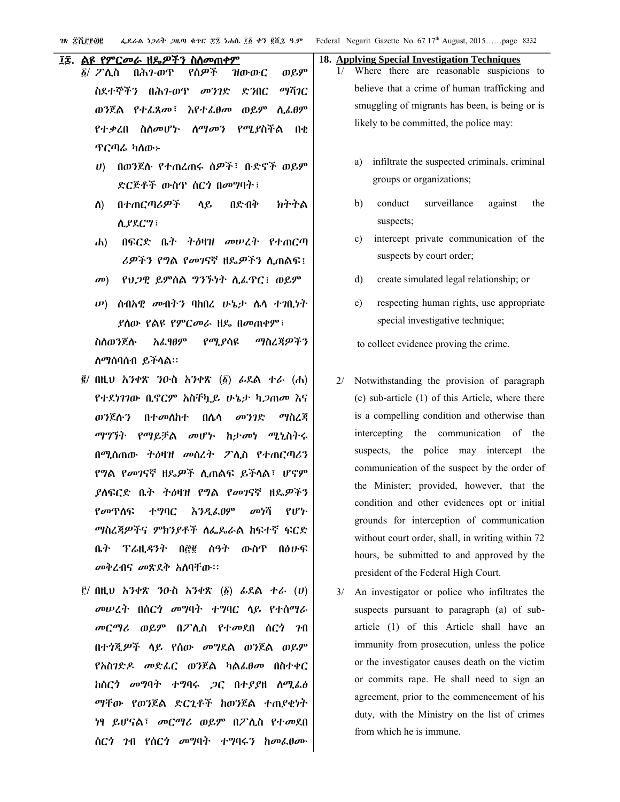| ፲፰. <u>ልዩ የምር<i>መራ</i> ዘዴ<i>ዎችን</i> ስለመጠቀም</u><br>የሰዎች<br>ወይም<br>፩/ <i>ፖ</i> ሊስ<br>ዝውውር<br>በሕን-ወጥ | 18. Applying Special Investigation Techniques<br>Where there are reasonable suspicions to<br>1/ |
|---------------------------------------------------------------------------------------------------|-------------------------------------------------------------------------------------------------|
| ስደተኞችን በሕን-ወዋ<br>ማሻንር<br>መንገድ<br>ድንበር                                                             | believe that a crime of human trafficking and                                                   |
|                                                                                                   | smuggling of migrants has been, is being or is                                                  |
| ወንጀል የተፈጸመ፣<br>ወይም<br>እየተፈፀመ<br>ሲፌፀም                                                              | likely to be committed, the police may:                                                         |
| የሚያስችል<br>የተቃረበ ስለመሆኑ<br>ስማመን<br>$\mathbf{0}$                                                     |                                                                                                 |
| <b>ፕርጣሬ ካስው፦</b>                                                                                  |                                                                                                 |
| በወንጀሉ የተጠፈጠሩ ሰዎች፣ ቡድኖች ወይም<br>$\boldsymbol{\theta}$                                               | infiltrate the suspected criminals, criminal<br>a)                                              |
| ድርጅቶች ውስዋ ሰርጎ በመግባት፤                                                                              | groups or organizations;                                                                        |
| <b>わヤヤふ</b><br>በተጠርጣሪዎች<br>በድብቅ<br>ሳይ<br>ስ)                                                       | surveillance<br>b)<br>conduct<br>against<br>the                                                 |
| ሲያደርግ፤                                                                                            | suspects;                                                                                       |
| በፍርድ ቤት ትዕዛዝ መሠረት የተጠርጣ<br>$\bf{d}$                                                               | intercept private communication of the<br>$\mathbf{c})$                                         |
| ሪዎችን የግል የመገናኛ ዘዴዎችን ሲጠልፍ፤                                                                        | suspects by court order;                                                                        |
| የህጋዊ ይምስል ግንኙነት ሲፌዋር፤ ወይም<br>$\sigma$ <sup>o</sup> )                                              | create simulated legal relationship; or<br>$\mathbf{d}$                                         |
| ሰብአዊ መብትን ባከበረ ሁኔታ ሴሳ ተንቢነት<br>$\boldsymbol{\mu}$                                                 | respecting human rights, use appropriate<br>e)                                                  |
| ያስው የልዩ የምርመራ ዘዴ በመጠቀም፤                                                                           | special investigative technique;                                                                |
| ስስወንጀስ<br>የሚያሳዩ<br>ማስረጃዎችን<br>አፌፃፀም                                                               | to collect evidence proving the crime.                                                          |
| ለማሰባሰብ ይችላል።                                                                                      |                                                                                                 |
|                                                                                                   | Notwithstanding the provision of paragraph<br>2/                                                |
| የተደነገገው ቢኖርም አስቸኳይ ሁኔታ ካ <i>ጋ</i> ጠመ እና                                                           | (c) sub-article (1) of this Article, where there                                                |
| ወንጀሱን<br>በተመስከተ<br>በሴሳ<br>ማስረጃ<br>መንገድ                                                            | is a compelling condition and otherwise than                                                    |
| <i>ማግኘት የማይቻል መሆኑ ከታመነ ሚኒ</i> ስትሩ                                                                 | intercepting the communication of the                                                           |
| በሚሰጠው ትዕዛዝ መሰረት ፖሊስ የተጠርጣሪን                                                                       | suspects, the police may intercept the                                                          |
| የግል የመገናኛ ዘዴዎች ሲጠልፍ ይችሳል፣ ሆኖም                                                                     | communication of the suspect by the order of                                                    |
| ያስፍርድ ቤት ትዕዛዝ የግል የመገናኛ ዘዴዎችን                                                                     | the Minister; provided, however, that the                                                       |
|                                                                                                   | condition and other orideness ont or initial                                                    |

- የመጥለፍ ተግባር እንዲፈፀም መነሻ የሆኑ ማስረጃዎችና ምክንያቶች ለፌዴራል ከፍተኛ ፍርድ ቤት ፕሬዚዳንት በ፸፪ ሰዓት ውስጥ በፅሁፍ መቅረብና መጽደቅ አለባቸው፡፡
- ፫/ በዚህ አንቀጽ ንዑስ አንቀጽ (፩) ፊደል ተራ (ሀ) መሠረት በሰርጎ መግባት ተግባር ላይ የተሰማራ መርማሪ ወይም በፖሊስ የተመደበ ሰርጎ ገብ በተጎጂዎች ላይ የሰው መግደል ወንጀል ወይም የአስገድዶ መድፈር ወንጀል ካልፈፀመ በስተቀር ከሰርጎ መግባት ተግባሩ ጋር በተያያዘ ለሚፈፅ ማቸው የወንጀል ድርጊቶች ከወንጀል ተጠያቂነት ነፃ ይሆናል፣ መርማሪ ወይም በፖሊስ የተመደበ ሰርጎ ገብ የሰርጎ መግባት ተግባሩን ከመፈፀሙ

ፌደራል ነጋሪት ጋዜጣ ቁጥር ፷፯ ነሐሴ ፲፩ ቀን ፪ሺ፯ ዓ.ም Federal Negarit Gazette No. 67 17th August, 2015……page 8332

the Minister; provided, however, that the condition and other evidences opt or initial grounds for interception of communication without court order, shall, in writing within 72 hours, be submitted to and approved by the president of the Federal High Court. 3/ An investigator or police who infiltrates the suspects pursuant to paragraph (a) of subarticle (1) of this Article shall have an immunity from prosecution, unless the police or the investigator causes death on the victim or commits rape. He shall need to sign an agreement, prior to the commencement of his duty, with the Ministry on the list of crimes from which he is immune.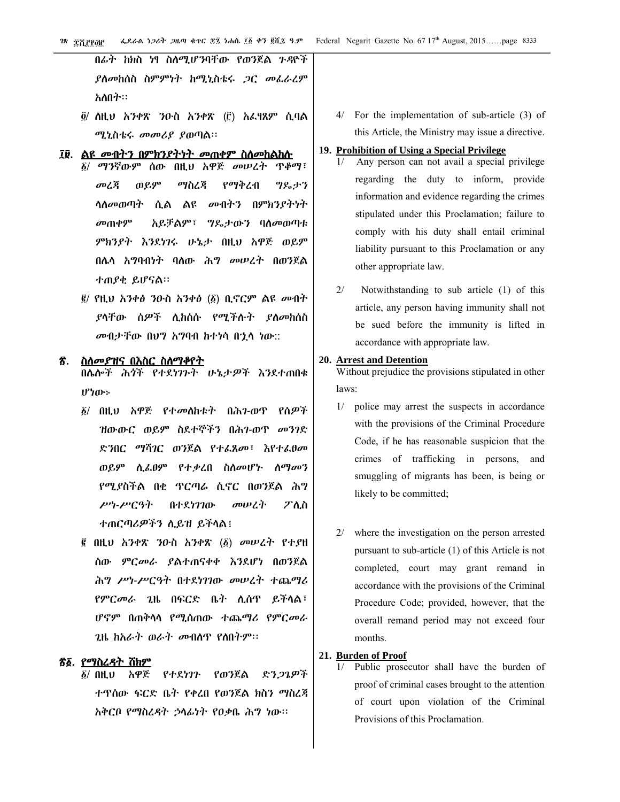በፊት ከክስ ነፃ ስለሚሆንባቸው የወንጀል ጉዳዮች ያለመከሰስ ስምምነት ከሚኒስቴሩ ጋር መፈራረም አለበት፡፡

፬/ ለዚህ አንቀጽ ንዑስ አንቀጽ (፫) አፈፃጸም ሲባል ሚኒስቴሩ መመሪያ ያወጣል፡፡

#### ፲፱. ልዩ መብትን በምክንያትነት መጠቀም ስለመከልከሉ

- ፩/ ማንኛውም ሰው በዚህ አዋጅ መሠረት ጥቆማ፣ መረጃ ወይም ማስረጃ የማቅረብ ግዴታን ላለመወጣት ሲል ልዩ መብትን በምክንያትነት መጠቀም አይቻልም፣ ግዴታውን ባለመወጣቱ ምክንያት እንደነገሩ ሁኔታ በዚህ አዋጅ ወይም በሌላ አግባብነት ባለው ሕግ መሠረት በወንጀል ተጠያቂ ይሆናል፡፡
	- ፪/ የዚህ አንቀፅ ንዑስ አንቀፅ (፩) ቢኖርም ልዩ መብት ያላቸው ሰዎች ሊከሰሱ የሚችሉት ያለመከሰስ መብታቸው በህግ አግባብ ከተነሳ በኋላ ነው::

#### ፳. ስለመያዝና በእስር ስለማቆየት

በሌሎች ሕጎች የተደነገጉት ሁኔታዎች እንደተጠበቁ ሆነው፦

- ፩/ በዚህ አዋጅ የተመለከቱት በሕገ-ወጥ የሰዎች ዝውውር ወይም ስደተኞችን በሕገ-ወጥ መንገድ ድንበር ማሻገር ወንጀል የተፈጸመ፣ እየተፈፀመ ወይም ሊፈፀም የተቃረበ ስለመሆኑ ለማመን የሚያስችል በቂ ጥርጣሬ ሲኖር በወንጀል ሕግ ሥነ-ሥርዓት በተደነገገው መሠረት ፖሊስ ተጠርጣሪዎችን ሊይዝ ይችላል፤
- ፪ በዚህ አንቀጽ ንዑስ አንቀጽ (፩) መሠረት የተያዘ ሰው ምርመራ ያልተጠናቀቀ እንደሆነ በወንጀል ሕግ ሥነ-ሥርዓት በተደነገገው መሠረት ተጨማሪ የምርመራ ጊዜ በፍርድ ቤት ሊሰጥ ይችላል፣ ሆኖም በጠቅላላ የሚሰጠው ተጨማሪ የምርመራ ጊዜ ከአራት ወራት መብለጥ የለበትም፡፡

#### ፳፩. የማስረዳት ሸክም

፩/ በዚህ አዋጅ የተደነገጉ የወንጀል ድንጋጌዎች ተጥሰው ፍርድ ቤት የቀረበ የወንጀል ክስን ማስረጃ አቅርቦ የማስረዳት ኃላፊነት የዐቃቤ ሕግ ነው፡፡

4/ For the implementation of sub-article (3) of this Article, the Ministry may issue a directive.

#### **19. Prohibition of Using a Special Privilege**

- 1/ Any person can not avail a special privilege regarding the duty to inform, provide information and evidence regarding the crimes stipulated under this Proclamation; failure to comply with his duty shall entail criminal liability pursuant to this Proclamation or any other appropriate law.
- 2/ Notwithstanding to sub article (1) of this article, any person having immunity shall not be sued before the immunity is lifted in accordance with appropriate law.

#### **20. Arrest and Detention**

Without prejudice the provisions stipulated in other laws:

- 1/ police may arrest the suspects in accordance with the provisions of the Criminal Procedure Code, if he has reasonable suspicion that the crimes of trafficking in persons, and smuggling of migrants has been, is being or likely to be committed;
- 2/ where the investigation on the person arrested pursuant to sub-article (1) of this Article is not completed, court may grant remand in accordance with the provisions of the Criminal Procedure Code; provided, however, that the overall remand period may not exceed four months.

#### **21. Burden of Proof**

Public prosecutor shall have the burden of proof of criminal cases brought to the attention of court upon violation of the Criminal Provisions of this Proclamation.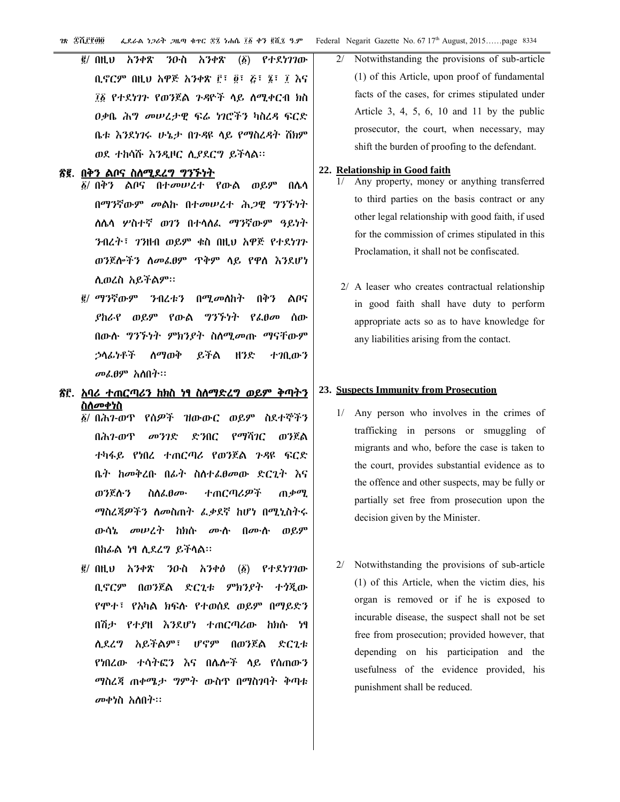|  | 1% ቌሺ፫፻፴፬ | ፌደራል ነጋሪት ጋዜጣ ቁተር ጃ፯ ነሐሴ ፲፩ ቀን ፪ሺ፯ ዓ.ም |  |  |  |  |  |  |  |  |  | Federal No |  |
|--|-----------|----------------------------------------|--|--|--|--|--|--|--|--|--|------------|--|
|--|-----------|----------------------------------------|--|--|--|--|--|--|--|--|--|------------|--|

፪/ በዚህ አንቀጽ ንዑስ አንቀጽ (፩) የተደነገገው ቢኖርም በዚህ አዋጅ አንቀጽ ፫፣ ፬፣ ፭፣ ፮፣ ፲ እና ፲፩ የተደነገጉ የወንጀል ጉዳዮች ላይ ለሚቀርብ ክስ ዐቃቤ ሕግ መሠረታዊ ፍሬ ነገሮችን ካስረዳ ፍርድ ቤቱ እንደነገሩ ሁኔታ በጉዳዩ ላይ የማስረዳት ሸክም ወደ ተከሳሹ እንዲዞር ሊያደርግ ይችላል፡፡

#### ፳፪. በቅን ልቦና ስለሚደረግ ግንኙነት

- ፩/ በቅን ልቦና በተመሠረተ የውል ወይም በሌላ በማንኛውም መልኩ በተመሠረተ ሕጋዊ ግንኙነት ለሌላ ሦስተኛ ወገን በተላለፈ ማንኛውም ዓይነት ንብረት፣ ገንዘብ ወይም ቁስ በዚህ አዋጅ የተደነገጉ ወንጀሎችን ለመፈፀም ጥቅም ላይ የዋለ እንደሆነ ሊወረስ አይችልም፡፡
	- ፪/ ማንኛውም ንብረቱን በሚመለከት በቅን ልቦና ያከራየ ወይም የውል ግንኙነት የፈፀመ ሰው በውሉ ግንኙነት ምክንያት ስለሚመጡ ማናቸውም ኃላፊነቶች ለማወቅ ይችል ዘንድ ተገቢውን መፈፀም አለበት፡፡
- ፳፫. አባሪ ተጠርጣሪን ከክስ ነፃ ስለማድረግ ወይም ቅጣትን ስለመቀነስ
	- ፩/ በሕገ-ወጥ የሰዎች ዝውውር ወይም ስደተኞችን በሕገ-ወጥ መንገድ ድንበር የማሻገር ወንጀል ተካፋይ የነበረ ተጠርጣሪ የወንጀል ጉዳዩ ፍርድ ቤት ከመቅረቡ በፊት ስለተፈፀመው ድርጊት እና ወንጀሉን ስለፈፀሙ ተጠርጣሪዎች ጠቃሚ ማስረጃዎችን ለመስጠት ፈቃደኛ ከሆነ በሚኒስትሩ ውሳኔ መሠረት ከክሱ ሙሉ በሙሉ ወይም በከፊል ነፃ ሊደረግ ይችላል፡፡
	- ፪/ በዚህ አንቀጽ ንዑስ አንቀፅ (፩) የተደነገገው ቢኖርም በወንጀል ድርጊቱ ምክንያት ተጎጂው የሞተ፣ የአካል ክፍሉ የተወሰደ ወይም በማይድን በሽታ የተያዘ እንደሆነ ተጠርጣሪው ከክሱ ነፃ ሊደረግ አይችልም፣ ሆኖም በወንጀል ድርጊቱ የነበረው ተሳትፎን እና በሌሎች ላይ የሰጠውን ማስረጃ ጠቀሜታ ግምት ውስጥ በማስገባት ቅጣቱ መቀነስ አለበት፡፡

2/ Notwithstanding the provisions of sub-article (1) of this Article, upon proof of fundamental facts of the cases, for crimes stipulated under Article 3, 4, 5, 6, 10 and 11 by the public prosecutor, the court, when necessary, may shift the burden of proofing to the defendant.

#### **22. Relationship in Good faith**

- 1/ Any property, money or anything transferred to third parties on the basis contract or any other legal relationship with good faith, if used for the commission of crimes stipulated in this Proclamation, it shall not be confiscated.
- 2/ A leaser who creates contractual relationship in good faith shall have duty to perform appropriate acts so as to have knowledge for any liabilities arising from the contact.

#### **23. Suspects Immunity from Prosecution**

- 1/ Any person who involves in the crimes of trafficking in persons or smuggling of migrants and who, before the case is taken to the court, provides substantial evidence as to the offence and other suspects, may be fully or partially set free from prosecution upon the decision given by the Minister.
- 2/ Notwithstanding the provisions of sub-article (1) of this Article, when the victim dies, his organ is removed or if he is exposed to incurable disease, the suspect shall not be set free from prosecution; provided however, that depending on his participation and the usefulness of the evidence provided, his punishment shall be reduced.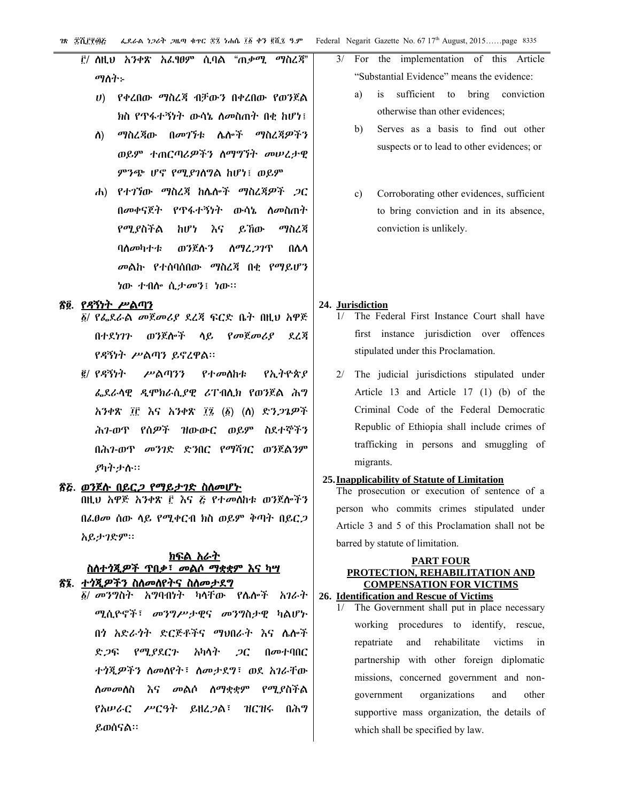|      | ፫/ ስዚህ አንቀጽ አፌፃፀም ሲባል "ጠ <i>ቃሚ ማ</i> ስረጃ" |  |  |
|------|-------------------------------------------|--|--|
| ማስትኑ |                                           |  |  |

- ሀ) የቀረበው ማስረጃ ብቻውን በቀረበው የወንጀል ክስ የጥፋተኝነት ውሳኔ ለመስጠት በቂ ከሆነ፤
- ለ) ማስረጃው በመገኘቱ ሌሎች ማስረጃዎችን ወይም ተጠርጣሪዎችን ለማግኘት መሠረታዊ ምንጭ ሆኖ የሚያገለግል ከሆነ፤ ወይም
- ሐ) የተገኘው ማስረጃ ከሌሎች ማስረጃዎች ጋር በመቀናጀት የጥፋተኝነት ውሳኔ ለመስጠት የሚያስችል ከሆነ እና ይኸው ማስረጃ ባለመካተቱ ወንጀሉን ለማረጋገጥ በሌላ መልኩ የተሰባሰበው ማስረጃ በቂ የማይሆን ነው ተብሎ ሲታመን፤ ነው፡፡

#### <u>ኛ፬. የዳኝነት ሥልጣን</u>

- ፩/ የፌደራል መጀመሪያ ደረጃ ፍርድ ቤት በዚህ አዋጅ በተደነገጉ ወንጀሎች ላይ የመጀመሪያ ደረጃ የዳኝነት ሥልጣን ይኖረዋል፡፡
- ፪/ የዳኝነት ሥልጣንን የተመለከቱ የኢትዮጵያ ፌደራላዊ ዲሞክራሲያዊ ሪፐብሊክ የወንጀል ሕግ አንቀጽ ፲፫ እና አንቀጽ ፲፯ (፩) (ለ) ድንጋጌዎች ሕገ-ወጥ የሰዎች ዝውውር ወይም ስደተኞችን በሕገ-ወጥ መንገድ ድንበር የማሻገር ወንጀልንም ያካትታሉ፡፡

#### ፳፭. ወንጀሉ በይርጋ የማይታገድ ስለመሆኑ

በዚህ አዋጅ አንቀጽ ፫ እና ፭ የተመለከቱ ወንጀሎችን በፈፀመ ሰው ላይ የሚቀርብ ክስ ወይም ቅጣት በይርጋ አይታገድም፡፡

#### ክፍል አራት ስለተጎጂዎች ጥበቃ፣ መልሶ ማቋቋም እና ካሣ ፳፮. ተጎጂዎችን ስለመለየትና ስለመታደግ

፩/ መንግስት አግባብነት ካላቸው የሌሎች አገራት ሚሲዮኖች፣ መንግሥታዊና መንግስታዊ ካልሆኑ በጎ አድራጎት ድርጅቶችና ማህበራት እና ሌሎች ድጋፍ የሚያደርጉ አካላት ጋር በመተባበር ተጎጂዎችን ለመለየት፣ ለመታደግ፣ ወደ አገራቸው ለመመለስ እና መልሶ ለማቋቋም የሚያስችል የአሠራር ሥርዓት ይዘረጋል፣ ዝርዝሩ በሕግ ይወሰናል፡፡

- 3/ For the implementation of this Article "Substantial Evidence" means the evidence:
	- a) is sufficient to bring conviction otherwise than other evidences;
	- b) Serves as a basis to find out other suspects or to lead to other evidences; or
	- c) Corroborating other evidences, sufficient to bring conviction and in its absence, conviction is unlikely.

#### **24. Jurisdiction**

- 1/ The Federal First Instance Court shall have first instance jurisdiction over offences stipulated under this Proclamation.
- 2/ The judicial jurisdictions stipulated under Article 13 and Article 17 (1) (b) of the Criminal Code of the Federal Democratic Republic of Ethiopia shall include crimes of trafficking in persons and smuggling of migrants.

#### **25.Inapplicability of Statute of Limitation**

The prosecution or execution of sentence of a person who commits crimes stipulated under Article 3 and 5 of this Proclamation shall not be barred by statute of limitation.

#### **PART FOUR PROTECTION, REHABILITATION AND COMPENSATION FOR VICTIMS**

#### **26. Identification and Rescue of Victims**

The Government shall put in place necessary working procedures to identify, rescue, repatriate and rehabilitate victims in partnership with other foreign diplomatic missions, concerned government and nongovernment organizations and other supportive mass organization, the details of which shall be specified by law.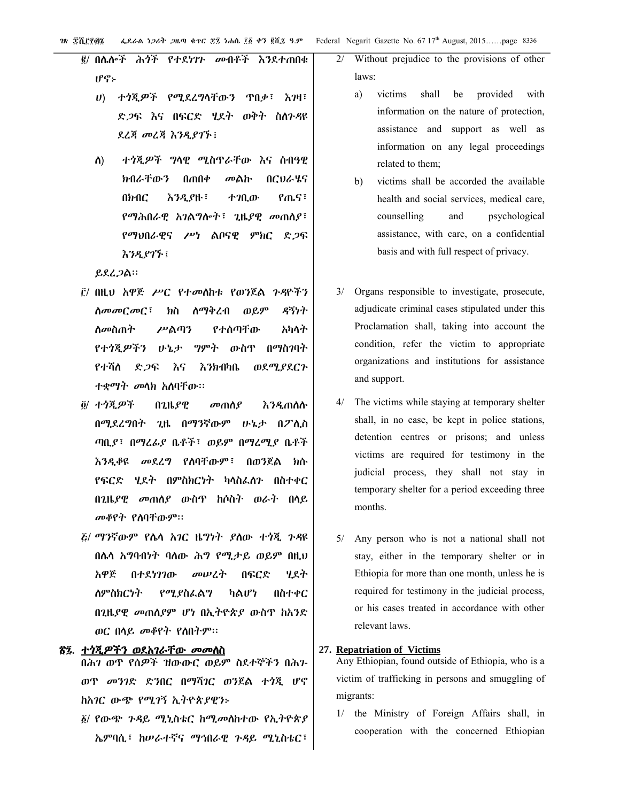- ፪/ በሌሎች ሕጎች የተደነገጉ መብቶች እንደተጠበቁ ሆኖ፦
	- ሀ) ተጎጂዎች የሚደረግላቸውን ጥበቃ፣ እገዛ፣ ድጋፍ እና በፍርድ ሂደት ወቅት ስለጉዳዩ ደረጃ መረጃ እንዲያገኙ፤
	- ለ) ተጎጂዎች ግላዊ ሚስጥራቸው እና ሰብዓዊ ክብራቸውን በጠበቀ መልኩ በርህራሄና በክብር እንዲያዙ፣ ተገቢው የጤና፣ የማሕበራዊ አገልግሎት፣ ጊዜያዊ መጠለያ፣ የማህበራዊና ሥነ ልቦናዊ ምክር ድጋፍ እንዲያገኙ፤

ይደረጋል፡፡

- ፫/ በዚህ አዋጅ ሥር የተመለከቱ የወንጀል ጉዳዮችን ለመመርመር፣ ክስ ለማቅረብ ወይም ዳኝነት ለመስጠት ሥልጣን የተሰጣቸው አካላት የተጎጂዎችን ሁኔታ ግምት ውስጥ በማስገባት የተሻለ ድጋፍ እና እንክብካቤ ወደሚያደርጉ ተቋማት መላክ አለባቸው፡፡
- ፬/ ተጎጂዎች በጊዜያዊ መጠለያ እንዲጠለሉ በሚደረግበት ጊዜ በማንኛውም ሁኔታ በፖሊስ ጣቢያ፣ በማረፊያ ቤቶች፣ ወይም በማረሚያ ቤቶች እንዲቆዩ መደረግ የለባቸውም፣ በወንጀል ክሱ የፍርድ ሂደት በምስክርነት ካላስፈለጉ በስተቀር በጊዜያዊ መጠለያ ውስጥ ከሶስት ወራት በላይ መቆየት የለባቸውም፡፡
- ፭/ ማንኛውም የሌላ አገር ዜግነት ያለው ተጎጂ ጉዳዩ በሌላ አግባብነት ባለው ሕግ የሚታይ ወይም በዚህ አዋጅ በተደነገገው መሠረት በፍርድ ሂደት ለምስክርነት የሚያስፈልግ ካልሆነ በስተቀር በጊዜያዊ መጠለያም ሆነ በኢትዮጵያ ውስጥ ከአንድ ወር በላይ መቆየት የለበትም፡፡

## ፳፯. ተጎጂዎችን ወደአገራቸው መመለስ በሕገ ወጥ የሰዎች ዝውውር ወይም ስደተኞችን በሕገ-ወጥ መንገድ ድንበር በማሻገር ወንጀል ተጎጂ ሆኖ ከአገር ውጭ የሚገኝ ኢትዮጵያዊን፦

፩/ የውጭ ጉዳይ ሚኒስቴር ከሚመለከተው የኢትዮጵያ ኤምባሲ፣ ከሠራተኛና ማኅበራዊ ጉዳይ ሚኒስቴር፣

- Without prejudice to the provisions of other laws:
	- a) victims shall be provided with information on the nature of protection, assistance and support as well as information on any legal proceedings related to them;
	- b) victims shall be accorded the available health and social services, medical care, counselling and psychological assistance, with care, on a confidential basis and with full respect of privacy.
- 3/ Organs responsible to investigate, prosecute, adjudicate criminal cases stipulated under this Proclamation shall, taking into account the condition, refer the victim to appropriate organizations and institutions for assistance and support.
- 4/ The victims while staying at temporary shelter shall, in no case, be kept in police stations, detention centres or prisons; and unless victims are required for testimony in the judicial process, they shall not stay in temporary shelter for a period exceeding three months.
- 5/ Any person who is not a national shall not stay, either in the temporary shelter or in Ethiopia for more than one month, unless he is required for testimony in the judicial process, or his cases treated in accordance with other relevant laws.

#### **27. Repatriation of Victims**

Any Ethiopian, found outside of Ethiopia, who is a victim of trafficking in persons and smuggling of migrants:

1/ the Ministry of Foreign Affairs shall, in cooperation with the concerned Ethiopian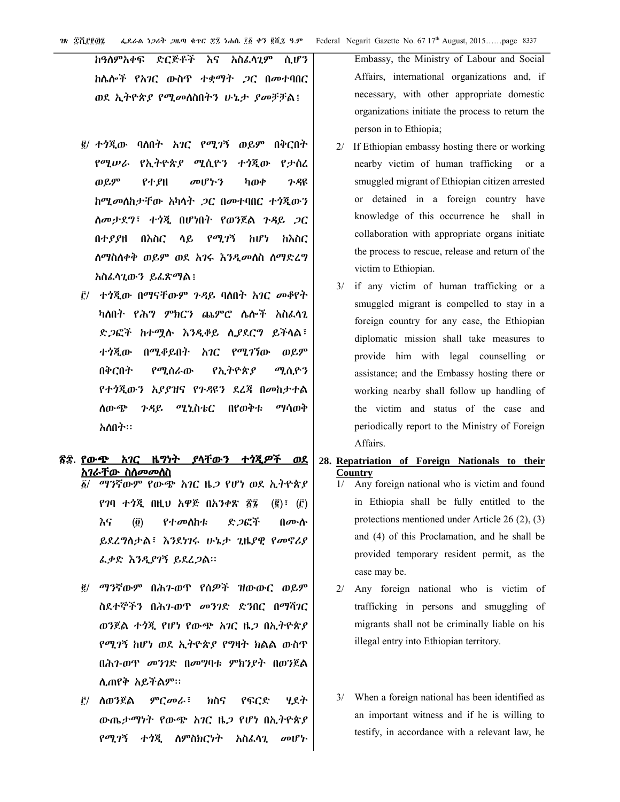ከዓለምአቀፍ ድርጅቶች እና አስፈላጊም ሲሆን ከሌሎች የአገር ውስጥ ተቋማት ጋር በመተባበር ወደ ኢትዮጵያ የሚመለስበትን ሁኔታ ያመቻቻል፤

- ፪/ ተጎጂው ባለበት አገር የሚገኝ ወይም በቅርበት የሚሠራ የኢትዮጵያ ሚሲዮን ተጎጂው የታሰረ ወይም የተያዘ መሆኑን ካወቀ ጉዳዩ ከሚመለከታቸው አካላት ጋር በመተባበር ተጎጂውን ለመታደግ፣ ተጎጂ በሆነበት የወንጀል ጉዳይ ጋር በተያያዘ በእስር ላይ የሚገኝ ከሆነ ከእስር ለማስለቀቅ ወይም ወደ አገሩ እንዲመለስ ለማድረግ አስፈላጊውን ይፈጽማል፤
- ፫/ ተጎጂው በማናቸውም ጉዳይ ባለበት አገር መቆየት ካለበት የሕግ ምክርን ጨምሮ ሌሎች አስፈላጊ ድጋፎች ከተሟሉ እንዲቆይ ሊያደርግ ይችላል፣ ተጎጂው በሚቆይበት አገር የሚገኘው ወይም በቅርበት የሚሰራው የኢትዮጵያ ሚሲዮን የተጎጂውን አያያዝና የጉዳዩን ደረጃ በመከታተል ለውጭ ጉዳይ ሚኒስቴር በየወቅቱ ማሳወቅ አለበት፡፡
- ፳፰. የውጭ አገር ዜግነት ያላቸውን ተጎጂዎች ወደ አ*ገራቸ*ው ስለ*መመ*ለስ
	- ፩/ ማንኛውም የውጭ አገር ዜጋ የሆነ ወደ ኢትዮጵያ የገባ ተጎጂ በዚህ አዋጅ በአንቀጽ ፳፮ (፪)፣ (፫) እና (፬) የተመለከቱ ድጋፎች በሙሉ ይደረግለታል፣ እንደነገሩ ሁኔታ ጊዜያዊ የመኖሪያ ፈቃድ እንዲያገኝ ይደረጋል፡፡
	- ፪/ ማንኛውም በሕገ‐ወጥ የሰዎች ዝውውር ወይም ስደተኞችን በሕገ-ወጥ መንገድ ድንበር በማሻገር ወንጀል ተጎጂ የሆነ የውጭ አገር ዜጋ በኢትዮጵያ የሚገኝ ከሆነ ወደ ኢትዮጵያ የግዛት ክልል ውስጥ በሕገ‐ወጥ መንገድ በመግባቱ ምክንያት በወንጀል ሊጠየቅ አይችልም፡፡
	- ፫/ ለወንጀል ምርመራ፣ ክስና የፍርድ ሂደት ውጤታማነት የውጭ አገር ዜጋ የሆነ በኢትዮጵያ የሚገኝ ተጎጂ ለምስክርነት አስፈላጊ መሆኑ

Embassy, the Ministry of Labour and Social Affairs, international organizations and, if necessary, with other appropriate domestic organizations initiate the process to return the person in to Ethiopia;

- 2/ If Ethiopian embassy hosting there or working nearby victim of human trafficking or a smuggled migrant of Ethiopian citizen arrested or detained in a foreign country have knowledge of this occurrence he shall in collaboration with appropriate organs initiate the process to rescue, release and return of the victim to Ethiopian.
- 3/ if any victim of human trafficking or a smuggled migrant is compelled to stay in a foreign country for any case, the Ethiopian diplomatic mission shall take measures to provide him with legal counselling or assistance; and the Embassy hosting there or working nearby shall follow up handling of the victim and status of the case and periodically report to the Ministry of Foreign Affairs.
- **28. Repatriation of Foreign Nationals to their Country**
	- Any foreign national who is victim and found in Ethiopia shall be fully entitled to the protections mentioned under Article 26 (2), (3) and (4) of this Proclamation, and he shall be provided temporary resident permit, as the case may be.
	- 2/ Any foreign national who is victim of trafficking in persons and smuggling of migrants shall not be criminally liable on his illegal entry into Ethiopian territory.
	- 3/ When a foreign national has been identified as an important witness and if he is willing to testify, in accordance with a relevant law, he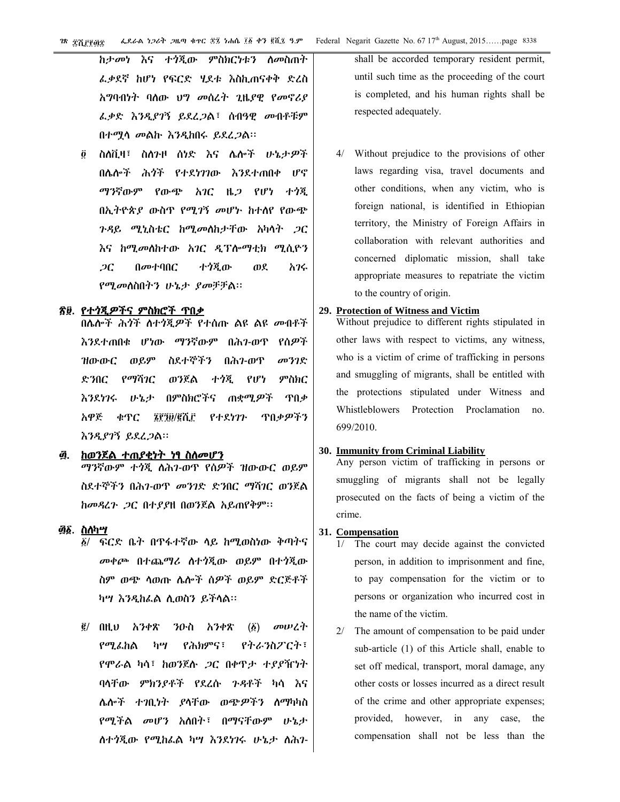ከታመነ እና ተጎጂው ምስክርነቱን ለመስጠት ፈቃደኛ ከሆነ የፍርድ ሂደቱ እስኪጠናቀቅ ድረስ አግባብነት ባለው ህግ መሰረት ጊዜያዊ የመኖሪያ ፈቃድ እንዲያገኝ ይደረጋል፣ ሰብዓዊ መብቶቹም በተሟላ መልኩ እንዲከበሩ ይደረጋል፡፡

፬ ስለቪዛ፣ ስለጉዞ ሰነድ እና ሌሎች ሁኔታዎች በሌሎች ሕጎች የተደነገገው እንደተጠበቀ ሆኖ ማንኛውም የውጭ አገር ዜጋ የሆነ ተጎጂ በኢትዮጵያ ውስጥ የሚገኝ መሆኑ ከተለየ የውጭ ጉዳይ ሚኒስቴር ከሚመለከታቸው አካላት ጋር እና ከሚመለከተው አገር ዲፕሎማቲክ ሚሲዮን ጋር በመተባበር ተጎጂው ወደ አገሩ የሚመለስበትን ሁኔታ ያመቻቻል፡፡

#### ፳፱. የተጎጂዎችና ምስክሮች ጥበቃ

በሌሎች ሕጎች ለተጎጂዎች የተሰጡ ልዩ ልዩ መብቶች እንደተጠበቁ ሆነው ማንኛውም በሕገ-ወጥ የሰዎች ዝውውር ወይም ስደተኞችን በሕገ-ወጥ መንገድ ድንበር የማሻገር ወንጀል ተጎጂ የሆነ ምስክር እንደነገሩ ሁኔታ በምስክሮችና ጠቋሚዎች ጥበቃ አዋጅ ቁጥር ፮፻፺፱/፪ሺ፫ የተደነገጉ ጥበቃዎችን እንዲያገኝ ይደረጋል፡፡

#### ፴. ከወንጀል ተጠያቂነት ነፃ ስለመሆን

ማንኛውም ተጎጂ ለሕገ‐ወጥ የሰዎች ዝውውር ወይም ስደተኞችን በሕገ-ወጥ መንገድ ድንበር ማሻገር ወንጀል ከመዳረጉ ጋር በተያያዘ በወንጀል አይጠየቅም፡፡

#### ፴፩. ስለካሣ

- ፩/ ፍርድ ቤት በጥፋተኛው ላይ ከሚወስነው ቅጣትና መቀጮ በተጨማሪ ለተጎጂው ወይም በተጎጂው ስም ወጭ ላወጡ ሌሎች ሰዎች ወይም ድርጅቶች ካሣ እንዲከፈል ሊወስን ይችላል፡፡
- ፪/ በዚህ አንቀጽ ንዑስ አንቀጽ (፩) መሠረት የሚፈከል ካሣ የሕክምና፣ የትራንስፖርት፣ የሞራል ካሳ፣ ከወንጀሉ ጋር በቀጥታ ተያያዥነት ባላቸው ምክንያቶች የደረሱ ጉዳቶች ካሳ እና ሌሎች ተገቢነት ያላቸው ወጭዎችን ለማካካስ የሚችል መሆን አለበት፣ በማናቸውም ሁኔታ ለተጎጂው የሚከፈል ካሣ እንደነገሩ ሁኔታ ለሕገ-

shall be accorded temporary resident permit, until such time as the proceeding of the court is completed, and his human rights shall be respected adequately.

4/ Without prejudice to the provisions of other laws regarding visa, travel documents and other conditions, when any victim, who is foreign national, is identified in Ethiopian territory, the Ministry of Foreign Affairs in collaboration with relevant authorities and concerned diplomatic mission, shall take appropriate measures to repatriate the victim to the country of origin.

#### **29. Protection of Witness and Victim**

Without prejudice to different rights stipulated in other laws with respect to victims, any witness, who is a victim of crime of trafficking in persons and smuggling of migrants, shall be entitled with the protections stipulated under Witness and Whistleblowers Protection Proclamation no. 699/2010.

#### **30. Immunity from Criminal Liability**

Any person victim of trafficking in persons or smuggling of migrants shall not be legally prosecuted on the facts of being a victim of the crime.

#### **31. Compensation**

- 1/ The court may decide against the convicted person, in addition to imprisonment and fine, to pay compensation for the victim or to persons or organization who incurred cost in the name of the victim.
- 2/ The amount of compensation to be paid under sub-article (1) of this Article shall, enable to set off medical, transport, moral damage, any other costs or losses incurred as a direct result of the crime and other appropriate expenses; provided, however, in any case, the compensation shall not be less than the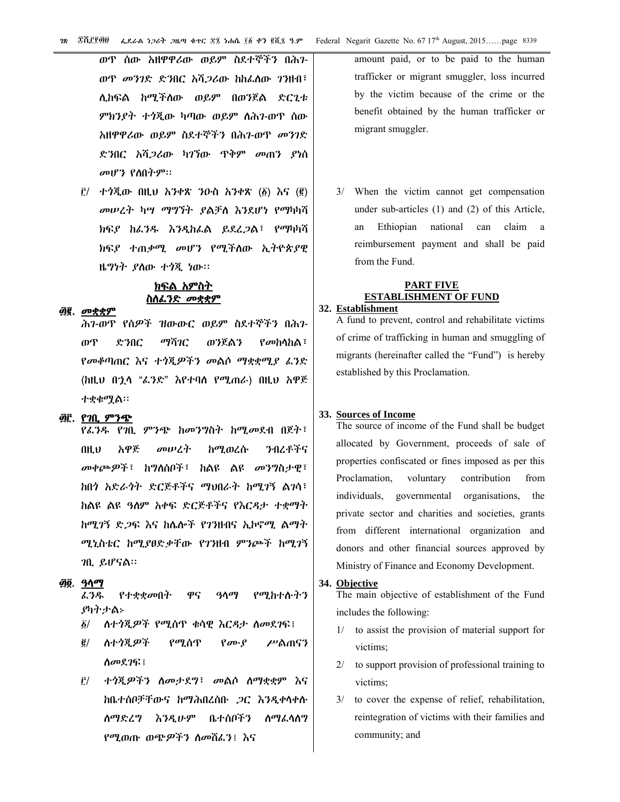ወጥ ሰው አዘዋዋሪው ወይም ስደተኞችን በሕገ-ወጥ መንገድ ድንበር አሻጋሪው ከከፈለው ገንዘብ፣ ሊከፍል ከሚችለው ወይም በወንጀል ድርጊቱ ምክንያት ተጎጂው ካጣው ወይም ለሕገ-ወጥ ሰው አዘዋዋሪው ወይም ስደተኞችን በሕገ-ወጥ መንገድ ድንበር አሻጋሪው ካገኘው ጥቅም መጠን ያነሰ መሆን የለበትም፡፡

፫/ ተጎጂው በዚህ አንቀጽ ንዑስ አንቀጽ (፩) እና (፪) መሠረት ካሣ ማግኘት ያልቻለ እንደሆነ የማካካሻ ክፍያ ከፈንዱ እንዲከፈል ይደረጋል፣ የማካካሻ ክፍያ ተጠቃሚ መሆን የሚችለው ኢትዮጵያዊ ዜግነት ያለው ተጎጂ ነው፡፡

#### ክፍል አምስት ስለፈንድ መቋቋም

፴፪. መቋቋም

ሕገ‐ወጥ የሰዎች ዝውውር ወይም ስደተኞችን በሕገ-ወጥ ድንበር ማሻገር ወንጀልን የመከላከል፣ የመቆጣጠር እና ተጎጂዎችን መልሶ ማቋቋሚያ ፈንድ (ከዚህ በኋላ "ፈንድ" እየተባለ የሚጠራ) በዚህ አዋጅ ተቋቁሟል፡፡

#### ፴፫. የገቢ ምንጭ

የፈንዱ የገቢ ምንጭ ከመንግስት ከሚመደብ በጀት፣ በዚህ አዋጅ መሠረት ከሚወረሱ ንብረቶችና መቀጮዎች፣ ከግለሰቦች፣ ከልዩ ልዩ መንግስታዊ፣ ከበጎ አድራጎት ድርጅቶችና ማህበራት ከሚገኝ ልገሳ፣ ከልዩ ልዩ ዓለም አቀፍ ድርጅቶችና የእርዳታ ተቋማት ከሚገኝ ድጋፍ እና ከሌሎች የገንዘብና ኢኮኖሚ ልማት ሚኒስቴር ከሚያፀድቃቸው የገንዘብ ምንጮች ከሚገኝ ገቢ ይሆናል፡፡

#### ፴፬. <u>ዓላማ</u>

ፈንዱ የተቋቋመበት ዋና ዓላማ የሚከተሉትን ያካትታል፦

- ፩/ ለተጎጂዎች የሚሰጥ ቁሳዊ እርዳታ ለመደገፍ፤
- ፪/ ለተጎጂዎች የሚሰጥ የሙያ ሥልጠናን ለመደገፍ፤
- ፫/ ተጎጂዎችን ለመታደግ፣ መልሶ ለማቋቋም እና ከቤተሰቦቻቸውና ከማሕበረሰቡ ጋር እንዲቀላቀሉ ለማድረግ እንዲሁም ቤተሰቦችን ለማፈላለግ የሚወጡ ወጭዎችን ለመሸፈን፤ እና

amount paid, or to be paid to the human trafficker or migrant smuggler, loss incurred by the victim because of the crime or the benefit obtained by the human trafficker or migrant smuggler.

3/ When the victim cannot get compensation under sub-articles (1) and (2) of this Article, an Ethiopian national can claim a reimbursement payment and shall be paid from the Fund.

#### **PART FIVE ESTABLISHMENT OF FUND**

#### **32. Establishment**

A fund to prevent, control and rehabilitate victims of crime of trafficking in human and smuggling of migrants (hereinafter called the "Fund") is hereby established by this Proclamation.

#### **33. Sources of Income**

The source of income of the Fund shall be budget allocated by Government, proceeds of sale of properties confiscated or fines imposed as per this Proclamation, voluntary contribution from individuals, governmental organisations, the private sector and charities and societies, grants from different international organization and donors and other financial sources approved by Ministry of Finance and Economy Development.

#### **34. Objective**

The main objective of establishment of the Fund includes the following:

- 1/ to assist the provision of material support for victims;
- 2/ to support provision of professional training to victims;
- 3/ to cover the expense of relief, rehabilitation, reintegration of victims with their families and community; and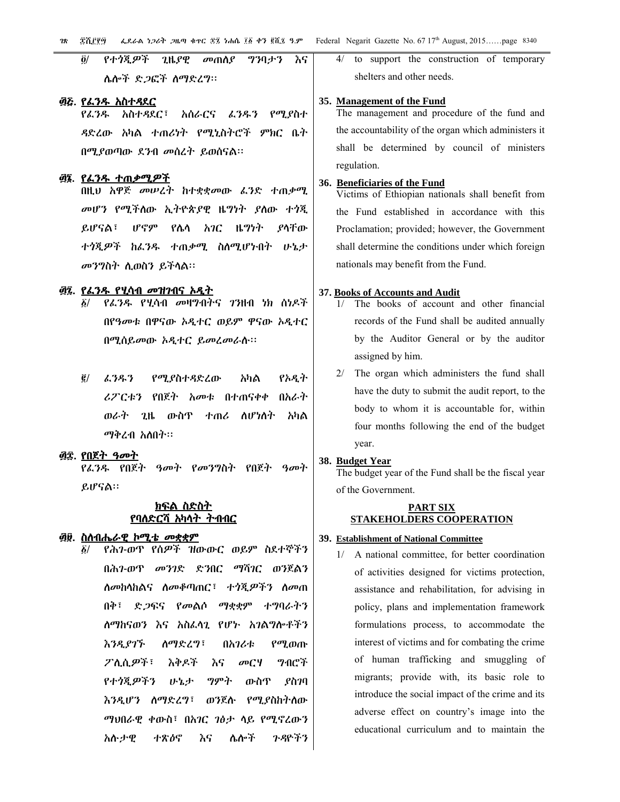| 78 | ፌደራል ነጋሪት ጋዜጣ ቁተር ፷፯ ነሐሴ ፲፩ ቀን ፪ሺ፯ ዓ.ም<br>ቋሺሮየማ                                   | Federal Negarit Gazette No. 67 17 <sup>th</sup> August, 2015page 8340                        |
|----|-----------------------------------------------------------------------------------|----------------------------------------------------------------------------------------------|
|    | $\ddot{\mathbf{g}}$ /<br>የተጎጂዎች<br><b>2</b> th, <i>P</i> Q<br>መጠስያ<br>እና<br>ツንባታን | to support the construction of temporary<br>4/                                               |
|    | ሌሎች ድጋፎች ስማድረግ።                                                                   | shelters and other needs.                                                                    |
|    | <u>፴ሯ. የፌንዱ አስተዳደር</u><br>አሰራርና<br>የሚያስተ<br>የፌንዱ<br>አስተዳደር፣<br>ፌንዱን               | 35. Management of the Fund<br>The management and procedure of the fund and                   |
|    | ዳድሬው አካል ተጠሪነት የሚኒስትሮች ምክር ቤት                                                     | the accountability of the organ which administers it                                         |
|    | በሚያወጣው ደንብ መሰረት ይወሰናል።                                                            | shall be determined by council of ministers                                                  |
|    |                                                                                   | regulation.                                                                                  |
|    | <u>፴፮ የፌንዱ ተጠቃሚዎች</u><br>በዚህ አዋጅ መሠረት ከተቋቋመው ፌንድ ተጠቃሚ                             | 36. Beneficiaries of the Fund<br>Victims of Ethiopian nationals shall benefit from           |
|    | መሆን የሚችለው ኢትዮጵያዊ ዜግነት ያለው ተጎጂ                                                     | the Fund established in accordance with this                                                 |
|    | ሆኖም<br>ዜማነት<br>ያሳቸው<br>ይሆናል፣<br>የሴሳ<br>አገር                                        | Proclamation; provided; however, the Government                                              |
|    | ተጎጂዎች ከፌንዱ ተጠቃሚ ስለሚሆኑበት ሁኔታ                                                       | shall determine the conditions under which foreign                                           |
|    | መንግስት ሲወስን ይችላል።                                                                  | nationals may benefit from the Fund.                                                         |
|    | <u>፴፯. የፌንዱ የሂሳብ መዝንብና አዲት</u>                                                    | 37. Books of Accounts and Audit                                                              |
|    | የፌንዱ የሂሳብ መዛግብትና ገንዘብ ነክ ሰነዶች<br>$\delta/$                                        | The books of account and other financial<br>1/                                               |
|    | በየዓመቱ በዋናው አዲተር ወይም ዋናው አዲተር                                                      | records of the Fund shall be audited annually                                                |
|    | በሚሰይመው አዲተር ይመረመራሱ።                                                               | by the Auditor General or by the auditor                                                     |
|    |                                                                                   | assigned by him.                                                                             |
|    | $\tilde{\mathbf{g}}/$<br>የአዲት<br>አካል<br>ፌንዱን<br>የሚያስተዳድረው                         | The organ which administers the fund shall<br>2/                                             |
|    | ሪፖርቱን የበጀት አመቱ በተጠናቀቀ<br>በአራት                                                     | have the duty to submit the audit report, to the                                             |
|    | ተጠሪ ስሆነስት<br>አካል<br>ወራት<br>ጊዜ ውስዋ                                                 | body to whom it is accountable for, within                                                   |
|    | ማቅረብ አስበት፡፡                                                                       | four months following the end of the budget                                                  |
|    | <i>፴፰. የበጀት ዓመት</i><br>ዓመት የመንግስት የበጀት<br>የፌንዱ የበጀት<br>ዓመት                        | year.<br>38. Budget Year<br>The budget year of the Fund shall be the fiscal year             |
|    | ይሆናል።                                                                             | of the Government.                                                                           |
|    | <u>ክፍል ስድስት</u>                                                                   | <b>PART SIX</b>                                                                              |
|    | <u>የባለድርሻ አካላት ትብብር</u>                                                           | <b>STAKEHOLDERS COOPERATION</b>                                                              |
|    | ፴፱. ስስብሔራዊ ኮሚቴ መቋቋም<br>የሕገ-ወጥ የሰዎች ዝውውር ወይም ስደተኞችን<br>$\delta/$                   | 39. Establishment of National Committee                                                      |
|    | በሕን-ወዋ መንገድ ድንበር ማሻገር ወንጀልን                                                       | A national committee, for better coordination<br>1/                                          |
|    | ለመከላከልና ለመቆጣጠር፣ ተጎጂዎችን ለመጠ                                                        | of activities designed for victims protection,                                               |
|    | ማቋቋም<br>ድ <i>ጋ</i> ፍና የመልሶ<br>ተግባራትን<br>በቅ፣                                       | assistance and rehabilitation, for advising in<br>policy, plans and implementation framework |
|    | ለማከናወን እና አስፌሳጊ የሆኑ አገልግሎቶችን                                                      | formulations process, to accommodate the                                                     |
|    |                                                                                   | interest of victims and for combating the crime                                              |
|    | የሚወጡ<br>እንዲያገኙ<br>ስማድረግ፣<br>በአገሪቱ                                                 | of human trafficking and smuggling of                                                        |
|    | ፖሊሲዎች፣<br>እቅዶች<br><b>7</b> በሮች<br>መርሃ<br>እና                                       | migrants; provide with, its basic role to                                                    |
|    | ግምት<br>የተጎጂዎችን ሁኔታ<br>ውስዋ<br>ዖስገባ                                                 | introduce the social impact of the crime and its                                             |
|    | እንዲሆን ስማድረግ፣ ወንጀስ የሚያስከትሰው                                                        | adverse effect on country's image into the                                                   |
|    | ማህበራዊ ቀውስ፣ በአገር ገፅታ ሳይ የሚኖረውን                                                     | educational curriculum and to maintain the                                                   |
|    | ንዳዮችን<br>ሌሎች<br>አሉታዊ<br>ተጽዕኖ<br>እና                                                |                                                                                              |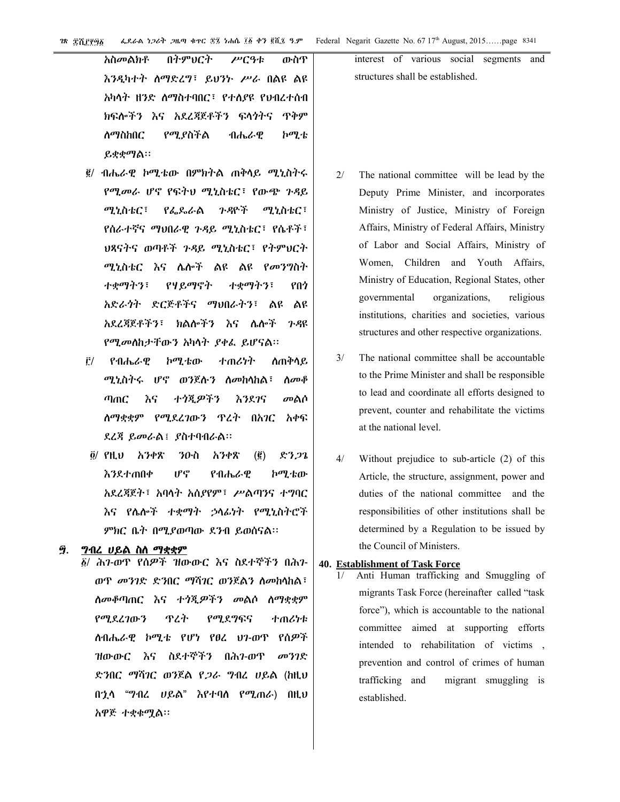- አስመልክቶ በትምህርት ሥርዓቱ ውስጥ እንዲካተት ለማድረግ፣ ይህንኑ ሥራ በልዩ ልዩ አካላት ዘንድ ለማስተባበር፣ የተለያዩ የህብረተሰብ ክፍሎችን እና አደረጃጀቶችን ፍላጎትና ጥቅም ለማስከበር የሚያስችል ብሔራዊ ኮሚቴ ይቋቋማል፡፡
- ፪/ ብሔራዊ ኮሚቴው በምክትል ጠቅላይ ሚኒስትሩ የሚመራ ሆኖ የፍትህ ሚኒስቴር፣ የውጭ ጉዳይ ሚኒስቴር፣ የፌዴራል ጉዳዮች ሚኒስቴር፣ የሰራተኛና ማህበራዊ ጉዳይ ሚኒስቴር፣ የሴቶች፣ ህጻናትና ወጣቶች ጉዳይ ሚኒስቴር፣ የትምህርት ሚኒስቴር እና ሌሎች ልዩ ልዩ የመንግስት ተቋማትን፣ የሃይማኖት ተቋማትን፣ የበጎ አድራጎት ድርጅቶችና ማህበራትን፣ ልዩ ልዩ አደረጃጀቶችን፣ ክልሎችን እና ሌሎች ጉዳዩ የሚመለከታቸውን አካላት ያቀፈ ይሆናል፡፡
- ፫/ የብሔራዊ ኮሚቴው ተጠሪነት ለጠቅላይ ሚኒስትሩ ሆኖ ወንጀሉን ለመከላከል፣ ለመቆ ጣጠር እና ተጎጂዎችን እንደገና መልሶ ለማቋቋም የሚደረገውን ጥረት በአገር አቀፍ ደረጃ ይመራል፤ ያስተባብራል፡፡
- ፬/ የዚህ አንቀጽ ንዑስ አንቀጽ (፪) ድንጋጌ እንደተጠበቀ ሆኖ የብሔራዊ ኮሚቴው አደረጃጀት፣ አባላት አሰያየም፣ ሥልጣንና ተግባር እና የሌሎች ተቋማት ኃላፊነት የሚኒስትሮች ምክር ቤት በሚያወጣው ደንብ ይወሰናል፡፡

#### ፵. ግብረ ሀይል ስለ ማቋቋም

፩/ ሕገ-ወጥ የሰዎች ዝውውር እና ስደተኞችን በሕገ-ወጥ መንገድ ድንበር ማሻገር ወንጀልን ለመከላከል፣ ለመቆጣጠር እና ተጎጂዎችን መልሶ ለማቋቋም የሚደረገውን ጥረት የሚደግፍና ተጠሪነቱ ለብሔራዊ ኮሚቴ የሆነ የፀረ ህገ-ወጥ የሰዎች ዝውውር እና ስደተኞችን በሕገ-ወጥ መንገድ ድንበር ማሻገር ወንጀል የጋራ ግብረ ሀይል (ከዚህ በኋላ "ግብረ ሀይል" እየተባለ የሚጠራ) በዚህ አዋጅ ተቋቁሟል፡፡

interest of various social segments and structures shall be established.

- 2/ The national committee will be lead by the Deputy Prime Minister, and incorporates Ministry of Justice, Ministry of Foreign Affairs, Ministry of Federal Affairs, Ministry of Labor and Social Affairs, Ministry of Women, Children and Youth Affairs, Ministry of Education, Regional States, other governmental organizations, religious institutions, charities and societies, various structures and other respective organizations.
- 3/ The national committee shall be accountable to the Prime Minister and shall be responsible to lead and coordinate all efforts designed to prevent, counter and rehabilitate the victims at the national level.
- 4/ Without prejudice to sub-article (2) of this Article, the structure, assignment, power and duties of the national committee and the responsibilities of other institutions shall be determined by a Regulation to be issued by the Council of Ministers.

#### **40. Establishment of Task Force**

Anti Human trafficking and Smuggling of migrants Task Force (hereinafter called "task force"), which is accountable to the national committee aimed at supporting efforts intended to rehabilitation of victims , prevention and control of crimes of human trafficking and migrant smuggling is established.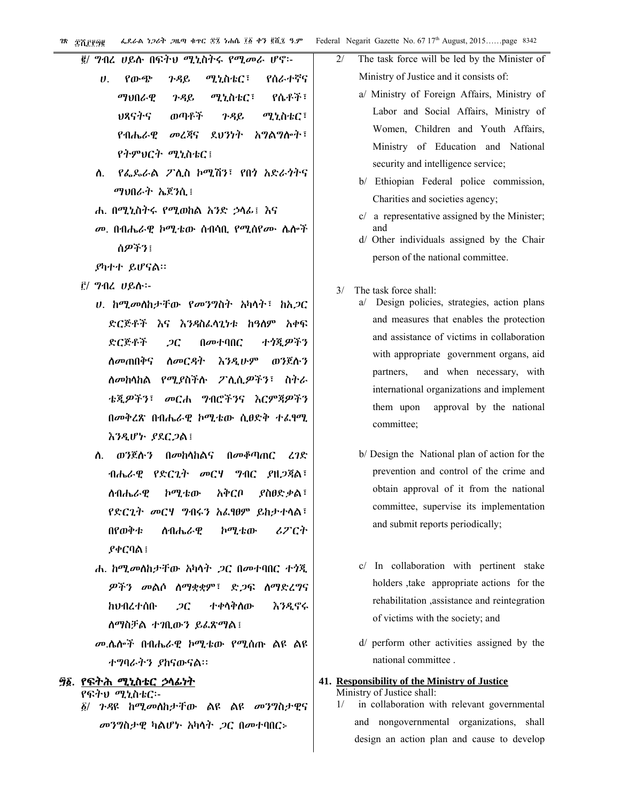## ፪/ ግብረ ሀይሉ በፍትህ ሚኒስትሩ የሚመራ ሆኖ፡-

- ሀ. የውጭ ጉዳይ ሚኒስቴር፣ የሰራተኛና ማህበራዊ ጉዳይ ሚኒስቴር፣ የሴቶች፣ ህጻናትና ወጣቶች ጉዳይ ሚኒስቴር፣ የብሔራዊ መረጃና ደህንነት አግልግሎት፣ የትምህርት ሚኒስቴር፤
- ለ. የፌዴራል ፖሊስ ኮሚሽን፣ የበጎ አድራጎትና ማህበራት ኤጀንሲ፤
- ሐ. በሚኒስትሩ የሚወከል አንድ ኃላፊ፤ እና
- መ. በብሔራዊ ኮሚቴው ሰብሳቢ የሚሰየሙ ሌሎች ሰዎችን፤

ያካተተ ይሆናል፡፡

- ፫/ ግብረ ሀይሉ፡-
	- ሀ. ከሚመለከታቸው የመንግስት አካላት፣ ከአጋር ድርጅቶች እና እንዳስፈላጊነቱ ከዓለም አቀፍ ድርጅቶች ጋር በመተባበር ተጎጂዎችን ለመጠበቅና ለመርዳት እንዲሁም ወንጀሉን ለመከላከል የሚያስችሉ ፖሊሲዎችን፣ ስትራ ቴጂዎችን፣ መርሐ ግብሮችንና እርምጃዎችን በመቅረጽ በብሔራዊ ኮሚቴው ሲፀድቅ ተፈፃሚ እንዲሆኑ ያደርጋል፤
	- ለ. ወንጀሉን በመከላከልና በመቆጣጠር ረገድ ብሔራዊ የድርጊት መርሃ ግብር ያዘጋጃል፣ ለብሔራዊ ኮሚቴው አቅርቦ ያስፀድቃል፣ የድርጊት መርሃ ግብሩን አፈፃፀም ይከታተላል፣ በየወቅቱ ለብሔራዊ ኮሚቴው ሪፖርት ያቀርባል፤
	- ሐ. ከሚመለከታቸው አካላት ጋር በመተባበር ተጎጂ ዎችን መልሶ ለማቋቋም፣ ድጋፍ ለማድረግና ከህብረተሰቡ ጋር ተቀላቅለው እንዲኖሩ ለማስቻል ተገቢውን ይፈጽማል፤
	- መ.ሌሎች በብሔራዊ ኮሚቴው የሚሰጡ ልዩ ልዩ ተግባራትን ያከናውናል፡፡

#### ፵፩. የፍትሕ ሚኒስቴር ኃላፊነት

የፍትህ ሚኒስቴር፡-

፩/ ጉዳዩ ከሚመለከታቸው ልዩ ልዩ መንግስታዊና መንግስታዊ ካልሆኑ አካላት ጋር በመተባበር፦

- 2/ The task force will be led by the Minister of Ministry of Justice and it consists of:
	- a/ Ministry of Foreign Affairs, Ministry of Labor and Social Affairs, Ministry of Women, Children and Youth Affairs, Ministry of Education and National security and intelligence service;
	- b/ Ethiopian Federal police commission, Charities and societies agency;
	- c/ a representative assigned by the Minister; and
	- d/ Other individuals assigned by the Chair person of the national committee.
- 3/ The task force shall:
	- a/ Design policies, strategies, action plans and measures that enables the protection and assistance of victims in collaboration with appropriate government organs, aid partners, and when necessary, with international organizations and implement them upon approval by the national committee;
	- b/ Design the National plan of action for the prevention and control of the crime and obtain approval of it from the national committee, supervise its implementation and submit reports periodically;
	- c/ In collaboration with pertinent stake holders ,take appropriate actions for the rehabilitation ,assistance and reintegration of victims with the society; and
	- d/ perform other activities assigned by the national committee .

#### **41. Responsibility of the Ministry of Justice**  Ministry of Justice shall:

1/ in collaboration with relevant governmental and nongovernmental organizations, shall design an action plan and cause to develop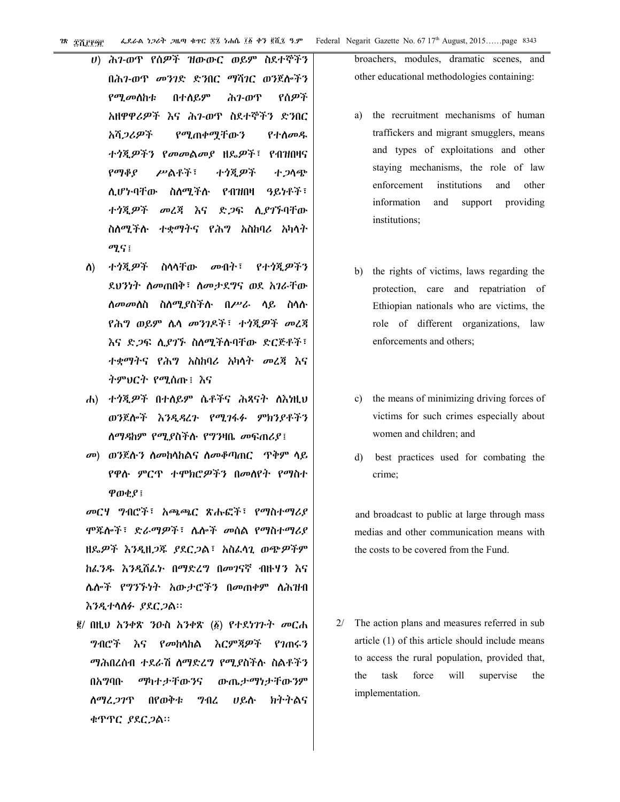- ሀ) ሕገ-ወጥ የሰዎች ዝውውር ወይም ስደተኞችን በሕገ-ወጥ መንገድ ድንበር ማሻገር ወንጀሎችን የሚመለከቱ በተለይም ሕገ-ወጥ የሰዎች አዘዋዋሪዎች እና ሕገ‐ወጥ ስደተኞችን ድንበር አሻጋሪዎች የሚጠቀሟቸውን የተለመዱ ተጎጂዎችን የመመልመያ ዘዴዎች፣ የብዝበዛና የማቆያ ሥልቶች፣ ተጎጂዎች ተጋላጭ ሊሆኑባቸው ስለሚችሉ የብዝበዛ ዓይነቶች፣ ተጎጂዎች መረጃ እና ድጋፍ ሊያገኙባቸው ስለሚችሉ ተቋማትና የሕግ አስከባሪ አካላት ሚና፤
- ለ) ተጎጂዎች ስላላቸው መብት፣ የተጎጂዎችን ደህንነት ለመጠበቅ፣ ለመታደግና ወደ አገራቸው ለመመለስ ስለሚያስችሉ በሥራ ላይ ስላሉ የሕግ ወይም ሌላ መንገዶች፣ ተጎጂዎች መረጃ እና ድጋፍ ሊያገኙ ስለሚችሉባቸው ድርጅቶች፣ ተቋማትና የሕግ አስከባሪ አካላት መረጃ እና ትምህርት የሚሰጡ፤ እና
- ሐ) ተጎጂዎች በተለይም ሴቶችና ሕጻናት ለእነዚህ ወንጀሎች እንዲዳረጉ የሚገፋፉ ምክንያቶችን ለማዳከም የሚያስችሉ የግንዛቤ መፍጠሪያ፤
- መ) ወንጀሉን ለመከላከልና ለመቆጣጠር ጥቅም ላይ የዋሉ ምርጥ ተሞክሮዎችን በመለየት የማስተ ዋወቂያ፤
- መርሃ ግብሮች፣ አጫጫር ጽሑፎች፣ የማስተማሪያ ሞጁሎች፣ ድራማዎች፣ ሌሎች መሰል የማስተማሪያ ዘዴዎች እንዲዘጋጁ ያደርጋል፣ አስፈላጊ ወጭዎችም ከፈንዱ እንዲሸፈኑ በማድረግ በመገናኛ ብዙሃን እና ሌሎች የግንኙነት አውታሮችን በመጠቀም ለሕዝብ እንዲተላለፉ ያደርጋል፡፡
- ፪/ በዚህ አንቀጽ ንዑስ አንቀጽ (፩) የተደነገጉት መርሐ ግብሮች እና የመከላከል እርምጃዎች የገጠሩን ማሕበረሰብ ተደራሽ ለማድረግ የሚያስችሉ ስልቶችን በአግባቡ ማካተታቸውንና ውጤታማነታቸውንም ለማረጋገጥ በየወቅቱ ግብረ ሀይሉ ክትትልና ቁጥጥር ያደርጋል፡፡

broachers, modules, dramatic scenes, and other educational methodologies containing:

- a) the recruitment mechanisms of human traffickers and migrant smugglers, means and types of exploitations and other staying mechanisms, the role of law enforcement institutions and other information and support providing institutions;
- b) the rights of victims, laws regarding the protection, care and repatriation of Ethiopian nationals who are victims, the role of different organizations, law enforcements and others;
- c) the means of minimizing driving forces of victims for such crimes especially about women and children; and
- d) best practices used for combating the crime;

and broadcast to public at large through mass medias and other communication means with the costs to be covered from the Fund.

2/ The action plans and measures referred in sub article (1) of this article should include means to access the rural population, provided that, the task force will supervise the implementation.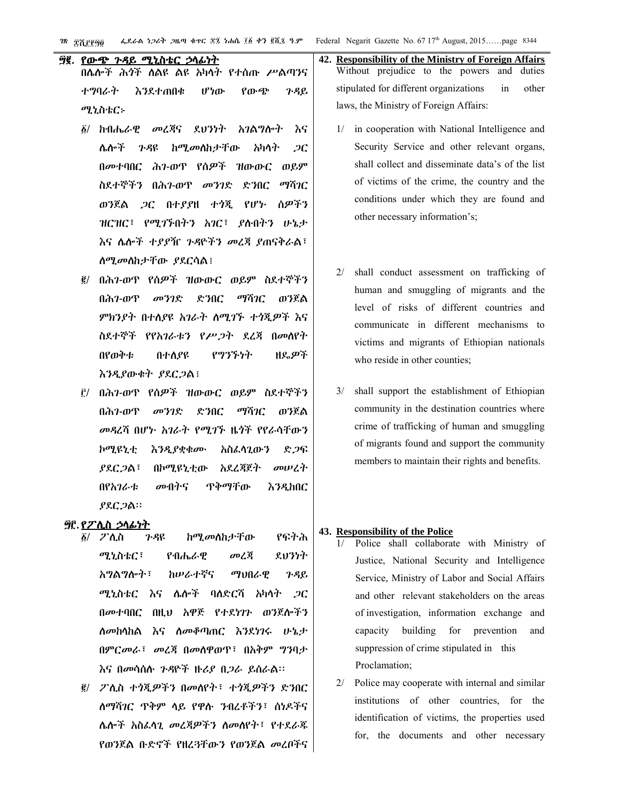| <u>የውጭ ንዳይ ሚኒስቴር ኃላፊነት</u><br>9G.<br>በሌሎች ሕ <i>ጎ</i> ች ለልዩ ልዩ አካላት የተሰጡ ሥልጣንና | 42. Responsibility of the M<br>Without prejudice to      |
|-------------------------------------------------------------------------------|----------------------------------------------------------|
| ተግባራት<br>እንደተጠበቁ ሆነው<br>የውጭ<br>ጉዳይ                                            | stipulated for different of                              |
| ሚኒስቴር፦                                                                        | laws, the Ministry of For                                |
| ፩/ ከብሔራዊ መረጃና ደህንነት አገልግሎት<br>እና                                              | in cooperation with<br>1/                                |
| ከሚመለከታቸው<br>አካላት<br>2C<br>ሌሎች<br>ን ዳዩ                                         | Security Service a                                       |
| በመተባበር ሕገ-ወዋ የሰዎች ዝውውር ወይም                                                    | shall collect and dis                                    |
| ስደተኞችን በሕን-ወጥ መንገድ ድንበር ማሻገር                                                  | of victims of the c                                      |
| ሰዎችን<br>ወንጀል <i>ጋ</i> ር በተ <i>ያያ</i> ዘ ተንጂ የሆኑ                                | conditions under w                                       |
| ዝርዝር፣ የሚገኙበትን አገር፣ ያሉበትን ሁኔታ                                                  | other necessary info                                     |
| እና ሌሎች ተያያዥ ጉዳዮችን መረጃ ያጠናቅራል፣                                                 |                                                          |
| ስሚመስከታቸው ያደርሳል፤                                                               |                                                          |
| በሕን-ወዋ የሰዎች ዝውውር ወይም ስደተኞችን<br>ĝ/                                             | shall conduct asse<br>2/                                 |
| ማሻንር<br>በሕገ-ወጥ መንገድ<br>ድንበር<br>ወንጀል                                           | human and smugg                                          |
| ምክንያት በተለያዩ አገራት ስሚገኙ ተጎጂዎች እና                                                | level of risks of                                        |
| ስደተኞች የየአገራቱን የሥ <i>ጋ</i> ት ደረጃ በመሰየት                                         | communicate in<br>victims and migrar                     |
| በየወቅቱ<br>በተሰያዩ<br>የግንኙነት<br>ዘጼዎች                                              | who reside in other                                      |
| እንዲያውቁት ያደርጋል፤                                                                |                                                          |
| በሕገ-ወጥ የሰዎች ዝውውር ወይም ስደተኞችን<br>Ë/                                             | 3/<br>shall support the e                                |
| ማሻንር<br>ወንጀል<br>መንገድ<br>ድንበር<br>በሕን-ወጥ                                        | community in the d                                       |
| መዳረሻ በሆኑ አገራት የሚገኙ ዜጎች የየራሳቸውን                                                | crime of trafficking                                     |
| አስፌሳጊውን<br>ኮሚዩኒቲ<br><b>እንዲያቋቁ</b> ሙ<br>ድጋፍ                                    | of migrants found a                                      |
| በኮሚዩኒቲው አደረጃጀት<br>መሠረት<br><i>ያ</i> ደር <i>ጋ</i> ል፣                             | members to maintai                                       |
| መብትና<br><b>ጥቅማቸው</b><br>እንዲከበር<br>በየአገራቱ                                      |                                                          |
| <i>ያ</i> ደር <i>ጋ</i> ል።                                                       |                                                          |
| <u> ፵፫ የፖሊስ ኃላፊነት</u>                                                         |                                                          |
| ከሚ <i>መ</i> ስስታቸው<br>የፍትሕ<br>፩/ <i>ፖ</i> ሊስ<br>ጉዳዩ                            | 43. Responsibility of the Po<br>Police shall colla<br>1/ |
| መረጃ<br>ደህንነት<br>ሚኒስቴር፣<br>የብሔራዊ                                               | Justice, National                                        |
| አግልግሎት፣<br>ከሥራተኛና ማህበራዊ<br>ጉዳይ                                                | Service, Ministry of                                     |
| ሚኒስቴር እና ሌሎች ባለድርሻ አካሳት<br>2C                                                 | and other relevant                                       |
| በዚህ አዋጅ የተደነገጉ ወንጀሎችን<br>በመተባበር                                               | of investigation, in                                     |
| ለመከሳከል እና ለመቆጣጠር እንደነገሩ<br>ひとよ                                                | capacity building                                        |
| በምርመራ፣ መረጃ በመስዋወዋ፣ በአቅም ግንባታ                                                  | suppression of crim                                      |
| እና በመሳሰሱ <i>ጉዳ</i> ዮች ዙሪ <i>ያ በጋራ ይ</i> ሰራል።                                  | Proclamation;                                            |
| ፪/ ፖሊስ ተጎጂዎችን በመስየት፣ ተጎጂዎችን ድንበር                                              | Police may coopera<br>2/                                 |

ለማሻገር ጥቅም ላይ የዋሉ ንብረቶችን፣ ሰነዶችና ሌሎች አስፈላጊ መረጃዎችን ለመለየት፣ የተደራጁ የወንጀል ቡድኖች የዘረጓቸውን የወንጀል መረቦችና

**<u>Einistry of Foreign Affairs</u>** the powers and duties rganizations in other reign Affairs:

- National Intelligence and nd other relevant organs, sseminate data's of the list erime, the country and the vhich they are found and ormation's;
- essment on trafficking of ling of migrants and the different countries and different mechanisms to nts of Ethiopian nationals counties;
- stablishment of Ethiopian lestination countries where of human and smuggling ind support the community n their rights and benefits.

#### **blice**

- borate with Ministry of Security and Intelligence f Labor and Social Affairs stakeholders on the areas formation exchange and for prevention and e stipulated in this
- ite with internal and similar institutions of other countries, for the identification of victims, the properties used for, the documents and other necessary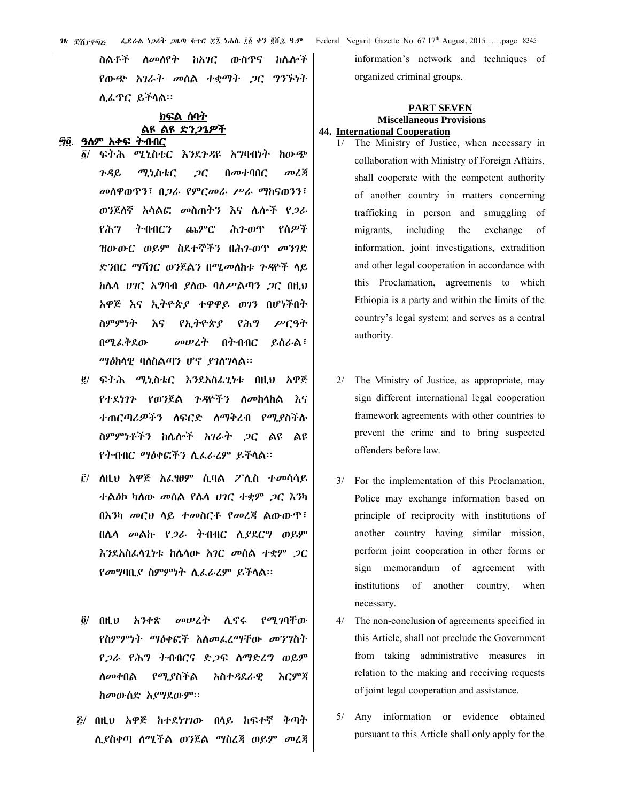|            |  |  | ስልቶች <i>ስመስ</i> የት ከአ <i>ገ</i> ር ውስጥና ከሌሎች |
|------------|--|--|--------------------------------------------|
|            |  |  | የውጭ አገራት መሰል ተቋማት ጋር ግንኙነት                 |
| ሲፌዋር ይችላል። |  |  |                                            |

#### ክፍል ሰባት ልዩ ልዩ ድንጋጌዎች

- ፵፬. ዓለም አቀፍ ትብብር
	- ፩/ ፍትሕ ሚኒስቴር እንደጉዳዩ አግባብነት ከውጭ ጉዳይ ሚኒስቴር ጋር በመተባበር መረጃ መለዋወጥን፣ በጋራ የምርመራ ሥራ ማከናወንን፣ ወንጀለኛ አሳልፎ መስጠትን እና ሌሎች የጋራ የሕግ ትብብርን ጨምሮ ሕገ-ወጥ የሰዎች ዝውውር ወይም ስደተኞችን በሕገ-ወጥ መንገድ ድንበር ማሻገር ወንጀልን በሚመለከቱ ጉዳዮች ላይ ከሌላ ሀገር አግባብ ያለው ባለሥልጣን ጋር በዚህ አዋጅ እና ኢትዮጵያ ተዋዋይ ወገን በሆነችበት ስምምነት እና የኢትዮጵያ የሕግ ሥርዓት በሚፈቅደው መሠረት በትብብር ይሰራል፣ ማዕከላዊ ባለስልጣን ሆኖ ያገለግላል፡፡
	- ፪/ ፍትሕ ሚኒስቴር እንደአስፈጊነቱ በዚህ አዋጅ የተደነገጉ የወንጀል ጉዳዮችን ለመከላከል እና ተጠርጣሪዎችን ለፍርድ ለማቅረብ የሚያስችሉ ስምምነቶችን ከሌሎች አገራት ጋር ልዩ ልዩ የትብብር ማዕቀፎችን ሊፈራረም ይችላል፡፡
	- ፫/ ለዚህ አዋጅ አፈፃፀም ሲባል ፖሊስ ተመሳሳይ ተልዕኮ ካለው መሰል የሌላ ሀገር ተቋም ጋር እንካ በእንካ መርህ ላይ ተመስርቶ የመረጃ ልውውጥ፣ በሌላ መልኩ የጋራ ትብብር ሊያደርግ ወይም እንደአስፈላጊነቱ ከሌላው አገር መሰል ተቋም ጋር የመግባቢያ ስምምነት ሊፈራረም ይችላል፡፡
	- ፬/ በዚህ አንቀጽ መሠረት ሊኖሩ የሚገባቸው የስምምነት ማዕቀፎች አለመፈረማቸው መንግስት የጋራ የሕግ ትብብርና ድጋፍ ለማድረግ ወይም ለመቀበል የሚያስችል አስተዳደራዊ እርምጃ ከመውሰድ አያግደውም፡፡
	- ፭/ በዚህ አዋጅ ከተደነገገው በላይ ከፍተኛ ቅጣት ሊያስቀጣ ለሚችል ወንጀል ማስረጃ ወይም መረጃ

information's network and techniques of organized criminal groups.

#### **PART SEVEN Miscellaneous Provisions 44. International Cooperation**

- 1/ The Ministry of Justice, when necessary in collaboration with Ministry of Foreign Affairs, shall cooperate with the competent authority of another country in matters concerning trafficking in person and smuggling of migrants, including the exchange of information, joint investigations, extradition and other legal cooperation in accordance with this Proclamation, agreements to which Ethiopia is a party and within the limits of the country's legal system; and serves as a central authority.
- 2/ The Ministry of Justice, as appropriate, may sign different international legal cooperation framework agreements with other countries to prevent the crime and to bring suspected offenders before law.
- 3/ For the implementation of this Proclamation, Police may exchange information based on principle of reciprocity with institutions of another country having similar mission, perform joint cooperation in other forms or sign memorandum of agreement with institutions of another country, when necessary.
- 4/ The non-conclusion of agreements specified in this Article, shall not preclude the Government from taking administrative measures in relation to the making and receiving requests of joint legal cooperation and assistance.
- 5/ Any information or evidence obtained pursuant to this Article shall only apply for the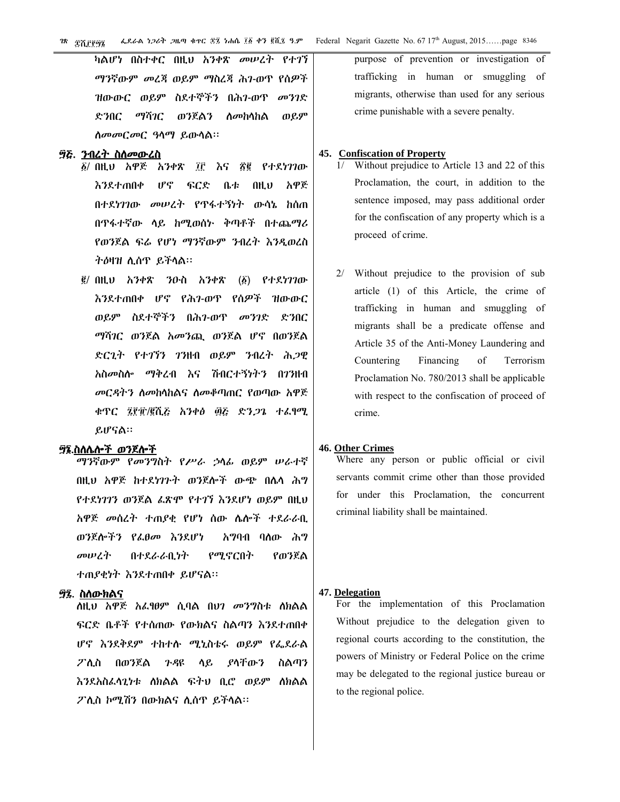ካልሆነ በስተቀር በዚህ አንቀጽ መሠረት የተገኘ ማንኛውም መረጃ ወይም ማስረጃ ሕገ-ወጥ የሰዎች ዝውውር ወይም ስደተኞችን በሕገ-ወጥ መንገድ ድንበር ማሻገር ወንጀልን ለመከላከል ወይም ለመመርመር ዓላማ ይውላል፡፡

#### ፵፭. ንብረት ስለመውረስ

- ፩/ በዚህ አዋጅ አንቀጽ ፲፫ እና ፳፪ የተደነገገው እንደተጠበቀ ሆኖ ፍርድ ቤቱ በዚህ አዋጅ በተደነገገው መሠረት የጥፋተኝነት ውሳኔ ከሰጠ በጥፋተኛው ላይ ከሚወሰኑ ቅጣቶች በተጨማሪ የወንጀል ፍሬ የሆነ ማንኛውም ንብረት እንዲወረስ ትዕዛዝ ሊሰጥ ይችላል፡፡
- ፪/ በዚህ አንቀጽ ንዑስ አንቀጽ (፩) የተደነገገው እንደተጠበቀ ሆኖ የሕገ-ወጥ የሰዎች ዝውውር ወይም ስደተኞችን በሕገ-ወጥ መንገድ ድንበር ማሻገር ወንጀል አመንጪ ወንጀል ሆኖ በወንጀል ድርጊት የተገኘን ገንዘብ ወይም ንብረት ሕጋዊ አስመስሎ ማቅረብ እና ሽብርተኝነትን በገንዘብ መርዳትን ለመከላከልና ለመቆጣጠር የወጣው አዋጅ ቁጥር ፯፻፹/፪ሺ፭ አንቀፅ ፴፭ ድንጋጌ ተፈፃሚ ይሆናል፡፡

#### ፵፮.ስለሌሎች ወንጀሎች

ማንኛውም የመንግስት የሥራ ኃላፊ ወይም ሠራተኛ በዚህ አዋጅ ከተደነገጉት ወንጀሎች ውጭ በሌላ ሕግ የተደነገገን ወንጀል ፈጽሞ የተገኘ እንደሆነ ወይም በዚህ አዋጅ መሰረት ተጠያቂ የሆነ ሰው ሌሎች ተደራራቢ ወንጀሎችን የፈፀመ እንደሆነ አግባብ ባለው ሕግ መሠረት በተደራራቢነት የሚኖርበት የወንጀል ተጠያቂነት እንደተጠበቀ ይሆናል፡፡

#### ፵፯. ስለውክልና

ለዚህ አዋጅ አፈፃፀም ሲባል በህገ መንግስቱ ለክልል ፍርድ ቤቶች የተሰጠው የውክልና ስልጣን እንደተጠበቀ ሆኖ እንደቅደም ተከተሉ ሚኒስቴሩ ወይም የፌደራል ፖሊስ በወንጀል ጉዳዩ ላይ ያላቸውን ስልጣን እንደአስፈላጊነቱ ለክልል ፍትህ ቢሮ ወይም ለክልል ፖሊስ ኮሚሽን በውክልና ሊሰጥ ይችላል፡፡

purpose of prevention or investigation of trafficking in human or smuggling of migrants, otherwise than used for any serious crime punishable with a severe penalty.

#### **45. Confiscation of Property**

- 1/ Without prejudice to Article 13 and 22 of this Proclamation, the court, in addition to the sentence imposed, may pass additional order for the confiscation of any property which is a proceed of crime.
- 2/ Without prejudice to the provision of sub article (1) of this Article, the crime of trafficking in human and smuggling of migrants shall be a predicate offense and Article 35 of the Anti-Money Laundering and Countering Financing of Terrorism Proclamation No. 780/2013 shall be applicable with respect to the confiscation of proceed of crime.

#### **46. Other Crimes**

Where any person or public official or civil servants commit crime other than those provided for under this Proclamation, the concurrent criminal liability shall be maintained.

#### **47. Delegation**

For the implementation of this Proclamation Without prejudice to the delegation given to regional courts according to the constitution, the powers of Ministry or Federal Police on the crime may be delegated to the regional justice bureau or to the regional police.